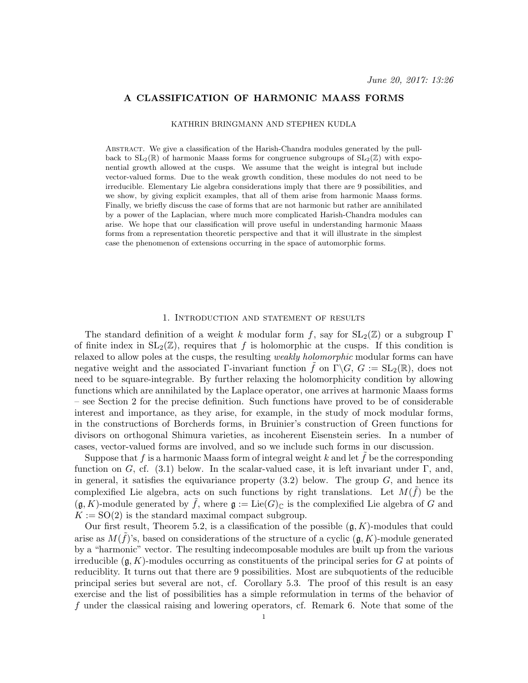### A CLASSIFICATION OF HARMONIC MAASS FORMS

#### KATHRIN BRINGMANN AND STEPHEN KUDLA

Abstract. We give a classification of the Harish-Chandra modules generated by the pullback to  $SL_2(\mathbb{R})$  of harmonic Maass forms for congruence subgroups of  $SL_2(\mathbb{Z})$  with exponential growth allowed at the cusps. We assume that the weight is integral but include vector-valued forms. Due to the weak growth condition, these modules do not need to be irreducible. Elementary Lie algebra considerations imply that there are 9 possibilities, and we show, by giving explicit examples, that all of them arise from harmonic Maass forms. Finally, we briefly discuss the case of forms that are not harmonic but rather are annihilated by a power of the Laplacian, where much more complicated Harish-Chandra modules can arise. We hope that our classification will prove useful in understanding harmonic Maass forms from a representation theoretic perspective and that it will illustrate in the simplest case the phenomenon of extensions occurring in the space of automorphic forms.

#### 1. Introduction and statement of results

The standard definition of a weight k modular form f, say for  $SL_2(\mathbb{Z})$  or a subgroup  $\Gamma$ of finite index in  $SL_2(\mathbb{Z})$ , requires that f is holomorphic at the cusps. If this condition is relaxed to allow poles at the cusps, the resulting weakly holomorphic modular forms can have negative weight and the associated Γ-invariant function f on  $\Gamma \backslash G$ ,  $G := SL_2(\mathbb{R})$ , does not need to be square-integrable. By further relaxing the holomorphicity condition by allowing functions which are annihilated by the Laplace operator, one arrives at harmonic Maass forms – see Section 2 for the precise definition. Such functions have proved to be of considerable interest and importance, as they arise, for example, in the study of mock modular forms, in the constructions of Borcherds forms, in Bruinier's construction of Green functions for divisors on orthogonal Shimura varieties, as incoherent Eisenstein series. In a number of cases, vector-valued forms are involved, and so we include such forms in our discussion.

Suppose that f is a harmonic Maass form of integral weight  $k$  and let  $f$  be the corresponding function on G, cf.  $(3.1)$  below. In the scalar-valued case, it is left invariant under Γ, and, in general, it satisfies the equivariance property  $(3.2)$  below. The group  $G$ , and hence its complexified Lie algebra, acts on such functions by right translations. Let  $M(\tilde{f})$  be the  $(\mathfrak{g}, K)$ -module generated by  $\tilde{f}$ , where  $\mathfrak{g} := \mathrm{Lie}(G)_{\mathbb{C}}$  is the complexified Lie algebra of G and  $K := SO(2)$  is the standard maximal compact subgroup.

Our first result, Theorem 5.2, is a classification of the possible  $(g, K)$ -modules that could arise as  $M(\tilde{f})$ 's, based on considerations of the structure of a cyclic  $(\mathfrak{g}, K)$ -module generated by a "harmonic" vector. The resulting indecomposable modules are built up from the various irreducible  $(\mathfrak{g}, K)$ -modules occurring as constituents of the principal series for G at points of reduciblity. It turns out that there are 9 possibilities. Most are subquotients of the reducible principal series but several are not, cf. Corollary 5.3. The proof of this result is an easy exercise and the list of possibilities has a simple reformulation in terms of the behavior of f under the classical raising and lowering operators, cf. Remark 6. Note that some of the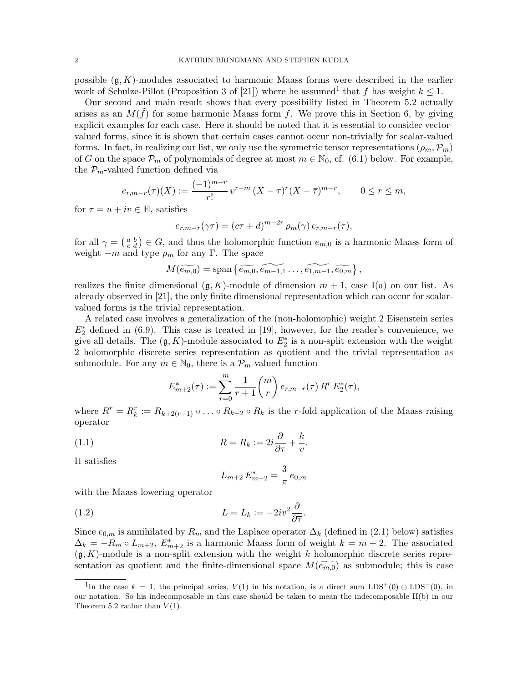possible  $(\mathfrak{g}, K)$ -modules associated to harmonic Maass forms were described in the earlier work of Schulze-Pillot (Proposition 3 of [21]) where he assumed that f has weight  $k \leq 1$ .

Our second and main result shows that every possibility listed in Theorem 5.2 actually arises as an  $M(\tilde{f})$  for some harmonic Maass form f. We prove this in Section 6, by giving explicit examples for each case. Here it should be noted that it is essential to consider vectorvalued forms, since it is shown that certain cases cannot occur non-trivially for scalar-valued forms. In fact, in realizing our list, we only use the symmetric tensor representations  $(\rho_m, \mathcal{P}_m)$ of G on the space  $\mathcal{P}_m$  of polynomials of degree at most  $m \in \mathbb{N}_0$ , cf. (6.1) below. For example, the  $\mathcal{P}_m$ -valued function defined via

$$
e_{r,m-r}(\tau)(X) := \frac{(-1)^{m-r}}{r!} v^{r-m} (X - \tau)^r (X - \overline{\tau})^{m-r}, \qquad 0 \le r \le m,
$$

for  $\tau = u + iv \in \mathbb{H}$ , satisfies

$$
e_{r,m-r}(\gamma \tau) = (c\tau + d)^{m-2r} \rho_m(\gamma) e_{r,m-r}(\tau),
$$

for all  $\gamma = \begin{pmatrix} a & b \\ c & d \end{pmatrix} \in G$ , and thus the holomorphic function  $e_{m,0}$  is a harmonic Maass form of weight  $-m$  and type  $\rho_m$  for any Γ. The space

$$
M(\widetilde{e_{m,0}}) = \mathrm{span}\left\{\widetilde{e_{m,0}}, \widetilde{e_{m-1,1}}, \ldots, \widetilde{e_{1,m-1}}, \widetilde{e_{0,m}}\right\},\,
$$

realizes the finite dimensional  $(g, K)$ -module of dimension  $m + 1$ , case I(a) on our list. As already observed in [21], the only finite dimensional representation which can occur for scalarvalued forms is the trivial representation.

A related case involves a generalization of the (non-holomophic) weight 2 Eisenstein series  $E_2^*$  defined in (6.9). This case is treated in [19], however, for the reader's convenience, we give all details. The  $(\mathfrak{g}, K)$ -module associated to  $E_2^*$  is a non-split extension with the weight 2 holomorphic discrete series representation as quotient and the trivial representation as submodule. For any  $m \in \mathbb{N}_0$ , there is a  $\mathcal{P}_m$ -valued function

$$
E_{m+2}^*(\tau) := \sum_{r=0}^m \frac{1}{r+1} {m \choose r} e_{r,m-r}(\tau) R^r E_2^*(\tau),
$$

where  $R^r = R_k^r := R_{k+2(r-1)} \circ \ldots \circ R_{k+2} \circ R_k$  is the r-fold application of the Maass raising operator

.

(1.1) 
$$
R = R_k := 2i\frac{\partial}{\partial \tau} + \frac{k}{v}
$$

It satisfies

$$
L_{m+2}E_{m+2}^* = \frac{3}{\pi}e_{0,m}
$$

with the Maass lowering operator

(1.2) 
$$
L = L_k := -2iv^2 \frac{\partial}{\partial \overline{\tau}}.
$$

Since  $e_{0,m}$  is annihilated by  $R_m$  and the Laplace operator  $\Delta_k$  (defined in (2.1) below) satisfies  $\Delta_k = -R_m \circ L_{m+2}, E^*_{m+2}$  is a harmonic Maass form of weight  $k = m+2$ . The associated  $(\mathfrak{g}, K)$ -module is a non-split extension with the weight k holomorphic discrete series representation as quotient and the finite-dimensional space  $M(\widetilde{e_m}_0)$  as submodule; this is case

<sup>&</sup>lt;sup>1</sup>In the case k = 1, the principal series,  $V(1)$  in his notation, is a direct sum LDS<sup>+</sup>(0) ⊕ LDS<sup>-</sup>(0), in our notation. So his indecomposable in this case should be taken to mean the indecomposable II(b) in our Theorem 5.2 rather than  $V(1)$ .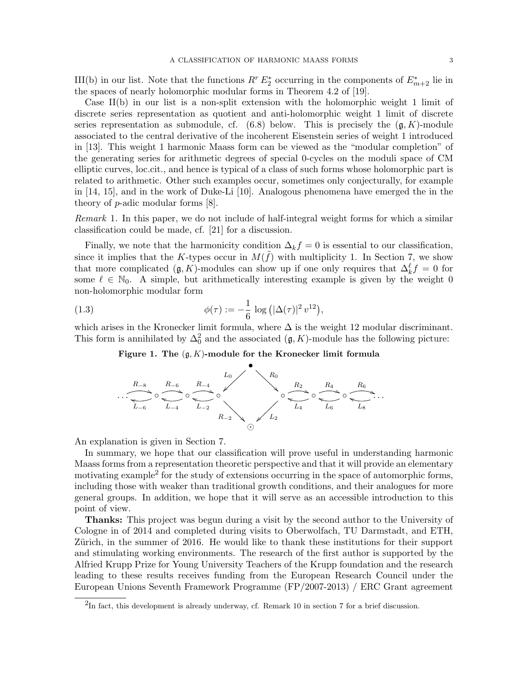III(b) in our list. Note that the functions  $R^r E_2^*$  occurring in the components of  $E_{m+2}^*$  lie in the spaces of nearly holomorphic modular forms in Theorem 4.2 of [19].

Case II(b) in our list is a non-split extension with the holomorphic weight 1 limit of discrete series representation as quotient and anti-holomorphic weight 1 limit of discrete series representation as submodule, cf.  $(6.8)$  below. This is precisely the  $(\mathfrak{g}, K)$ -module associated to the central derivative of the incoherent Eisenstein series of weight 1 introduced in [13]. This weight 1 harmonic Maass form can be viewed as the "modular completion" of the generating series for arithmetic degrees of special 0-cycles on the moduli space of CM elliptic curves, loc.cit., and hence is typical of a class of such forms whose holomorphic part is related to arithmetic. Other such examples occur, sometimes only conjecturally, for example in [14, 15], and in the work of Duke-Li [10]. Analogous phenomena have emerged the in the theory of p-adic modular forms [8].

Remark 1. In this paper, we do not include of half-integral weight forms for which a similar classification could be made, cf. [21] for a discussion.

Finally, we note that the harmonicity condition  $\Delta_k f = 0$  is essential to our classification, since it implies that the K-types occur in  $M(\tilde{f})$  with multiplicity 1. In Section 7, we show that more complicated  $(\mathfrak{g}, K)$ -modules can show up if one only requires that  $\Delta_k^{\ell} f = 0$  for some  $\ell \in \mathbb{N}_0$ . A simple, but arithmetically interesting example is given by the weight 0 non-holomorphic modular form

(1.3) 
$$
\phi(\tau) := -\frac{1}{6} \log \left( |\Delta(\tau)|^2 v^{12} \right),
$$

which arises in the Kronecker limit formula, where  $\Delta$  is the weight 12 modular discriminant. This form is annihilated by  $\Delta_0^2$  and the associated  $(\mathfrak{g}, K)$ -module has the following picture:

# Figure 1. The  $(\mathfrak{g}, K)$ -module for the Kronecker limit formula



An explanation is given in Section 7.

In summary, we hope that our classification will prove useful in understanding harmonic Maass forms from a representation theoretic perspective and that it will provide an elementary motivating example<sup>2</sup> for the study of extensions occurring in the space of automorphic forms, including those with weaker than traditional growth conditions, and their analogues for more general groups. In addition, we hope that it will serve as an accessible introduction to this point of view.

Thanks: This project was begun during a visit by the second author to the University of Cologne in of 2014 and completed during visits to Oberwolfach, TU Darmstadt, and ETH, Zürich, in the summer of 2016. He would like to thank these institutions for their support and stimulating working environments. The research of the first author is supported by the Alfried Krupp Prize for Young University Teachers of the Krupp foundation and the research leading to these results receives funding from the European Research Council under the European Unions Seventh Framework Programme (FP/2007-2013) / ERC Grant agreement

 ${}^{2}$ In fact, this development is already underway, cf. Remark 10 in section 7 for a brief discussion.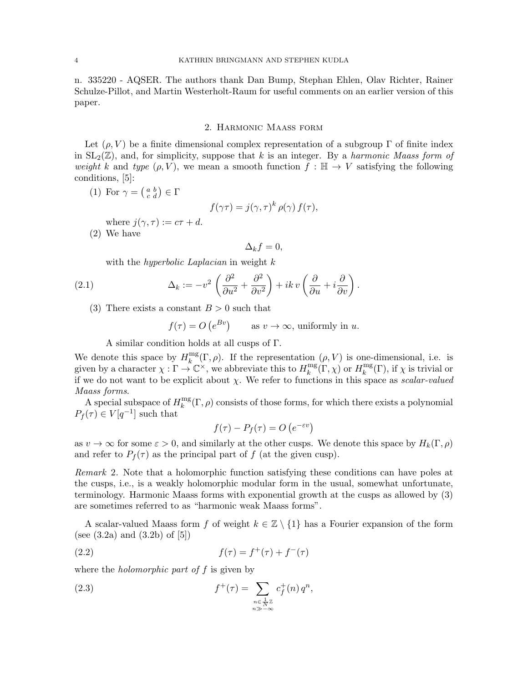n. 335220 - AQSER. The authors thank Dan Bump, Stephan Ehlen, Olav Richter, Rainer Schulze-Pillot, and Martin Westerholt-Raum for useful comments on an earlier version of this paper.

### 2. Harmonic Maass form

Let  $(\rho, V)$  be a finite dimensional complex representation of a subgroup Γ of finite index in  $SL_2(\mathbb{Z})$ , and, for simplicity, suppose that k is an integer. By a harmonic Maass form of weight k and type  $(\rho, V)$ , we mean a smooth function  $f : \mathbb{H} \to V$  satisfying the following conditions, [5]:

(1) For  $\gamma = \begin{pmatrix} a & b \\ c & d \end{pmatrix} \in \Gamma$ 

$$
f(\gamma \tau) = j(\gamma, \tau)^k \, \rho(\gamma) \, f(\tau),
$$

where  $j(\gamma, \tau) := c\tau + d$ .

(2) We have

$$
\Delta_k f = 0,
$$

with the *hyperbolic Laplacian* in weight k

(2.1) 
$$
\Delta_k := -v^2 \left( \frac{\partial^2}{\partial u^2} + \frac{\partial^2}{\partial v^2} \right) + ik \, v \left( \frac{\partial}{\partial u} + i \frac{\partial}{\partial v} \right).
$$

(3) There exists a constant  $B > 0$  such that

$$
f(\tau) = O(e^{Bv})
$$
 as  $v \to \infty$ , uniformly in u.

A similar condition holds at all cusps of Γ.

We denote this space by  $H_k^{\text{mg}}$  $\int_k^{\text{mg}}(\Gamma,\rho)$ . If the representation  $(\rho, V)$  is one-dimensional, i.e. is given by a character  $\chi : \Gamma \to \mathbb{C}^\times$ , we abbreviate this to  $H_k^{\text{mg}}$  $\lim_{k} E(\Gamma, \chi)$  or  $H_k^{\text{mg}}$  $\mathcal{L}_k^{\text{mg}}(\Gamma)$ , if  $\chi$  is trivial or if we do not want to be explicit about  $\chi$ . We refer to functions in this space as scalar-valued Maass forms.

A special subspace of  $H_k^{\text{mg}}$  $\mathbb{R}^{\text{mg}}(\Gamma,\rho)$  consists of those forms, for which there exists a polynomial  $P_f(\tau) \in V[q^{-1}]$  such that

$$
f(\tau) - P_f(\tau) = O\left(e^{-\varepsilon v}\right)
$$

as  $v \to \infty$  for some  $\varepsilon > 0$ , and similarly at the other cusps. We denote this space by  $H_k(\Gamma, \rho)$ and refer to  $P_f(\tau)$  as the principal part of f (at the given cusp).

Remark 2. Note that a holomorphic function satisfying these conditions can have poles at the cusps, i.e., is a weakly holomorphic modular form in the usual, somewhat unfortunate, terminology. Harmonic Maass forms with exponential growth at the cusps as allowed by (3) are sometimes referred to as "harmonic weak Maass forms".

A scalar-valued Maass form f of weight  $k \in \mathbb{Z} \setminus \{1\}$  has a Fourier expansion of the form (see  $(3.2a)$  and  $(3.2b)$  of  $[5]$ )

(2.2) 
$$
f(\tau) = f^{+}(\tau) + f^{-}(\tau)
$$

where the *holomorphic part of f* is given by

(2.3) 
$$
f^+(\tau) = \sum_{\substack{n \in \frac{1}{N}\mathbb{Z} \\ n \gg -\infty}} c_f^+(n) q^n,
$$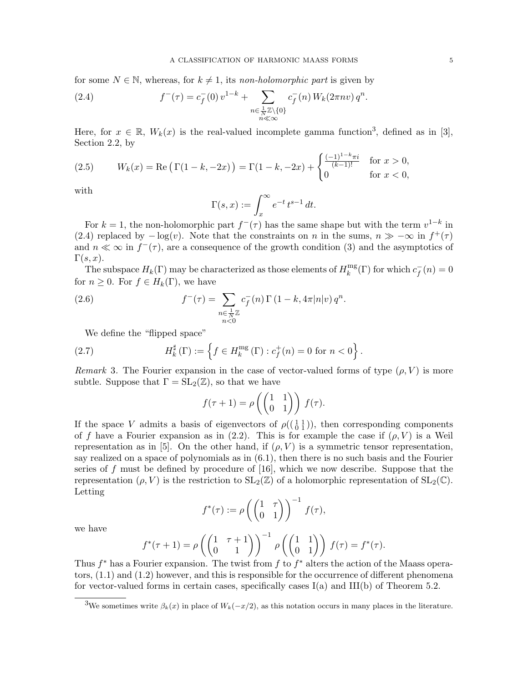for some  $N \in \mathbb{N}$ , whereas, for  $k \neq 1$ , its non-holomorphic part is given by

(2.4) 
$$
f^{-}(\tau) = c_f^{-}(0) v^{1-k} + \sum_{\substack{n \in \frac{1}{N} \mathbb{Z} \setminus \{0\} \\ n \ll \infty}} c_f^{-}(n) W_k(2\pi n v) q^n.
$$

Here, for  $x \in \mathbb{R}$ ,  $W_k(x)$  is the real-valued incomplete gamma function<sup>3</sup>, defined as in [3], Section 2.2, by

(2.5) 
$$
W_k(x) = \text{Re}\left(\Gamma(1-k, -2x)\right) = \Gamma(1-k, -2x) + \begin{cases} \frac{(-1)^{1-k}\pi i}{(k-1)!} & \text{for } x > 0, \\ 0 & \text{for } x < 0, \end{cases}
$$

with

$$
\Gamma(s,x) := \int_x^{\infty} e^{-t} t^{s-1} dt.
$$

For  $k = 1$ , the non-holomorphic part  $f^-(\tau)$  has the same shape but with the term  $v^{1-k}$  in (2.4) replaced by  $-\log(v)$ . Note that the constraints on n in the sums,  $n \gg -\infty$  in  $f^{+}(\tau)$ and  $n \ll \infty$  in  $f^-(\tau)$ , are a consequence of the growth condition (3) and the asymptotics of  $\Gamma(s,x).$ 

The subspace  $H_k(\Gamma)$  may be characterized as those elements of  $H_k^{\text{mg}}$  $\int_k^{\text{mg}}(\Gamma)$  for which  $c_f^$  $f(r) = 0$ for  $n \geq 0$ . For  $f \in H_k(\Gamma)$ , we have

(2.6) 
$$
f^{-}(\tau) = \sum_{\substack{n \in \frac{1}{N}\mathbb{Z} \\ n < 0}} c_f^{-}(n) \Gamma(1 - k, 4\pi |n|v) q^n.
$$

We define the "flipped space"

(2.7) 
$$
H_k^{\sharp}(\Gamma) := \left\{ f \in H_k^{\text{mg}}(\Gamma) : c_f^+(n) = 0 \text{ for } n < 0 \right\}.
$$

Remark 3. The Fourier expansion in the case of vector-valued forms of type  $(\rho, V)$  is more subtle. Suppose that  $\Gamma = SL_2(\mathbb{Z})$ , so that we have

$$
f(\tau + 1) = \rho \left( \begin{pmatrix} 1 & 1 \\ 0 & 1 \end{pmatrix} \right) f(\tau).
$$

If the space V admits a basis of eigenvectors of  $\rho((\begin{smallmatrix}1&1\\0&1\end{smallmatrix}))$ , then corresponding components of f have a Fourier expansion as in (2.2). This is for example the case if  $(\rho, V)$  is a Weil representation as in [5]. On the other hand, if  $(\rho, V)$  is a symmetric tensor representation, say realized on a space of polynomials as in (6.1), then there is no such basis and the Fourier series of  $f$  must be defined by procedure of [16], which we now describe. Suppose that the representation  $(\rho, V)$  is the restriction to  $SL_2(\mathbb{Z})$  of a holomorphic representation of  $SL_2(\mathbb{C})$ . Letting

$$
f^*(\tau) := \rho \left( \begin{pmatrix} 1 & \tau \\ 0 & 1 \end{pmatrix} \right)^{-1} f(\tau),
$$

we have

$$
f^*(\tau+1) = \rho \left( \begin{pmatrix} 1 & \tau+1 \\ 0 & 1 \end{pmatrix} \right)^{-1} \rho \left( \begin{pmatrix} 1 & 1 \\ 0 & 1 \end{pmatrix} \right) f(\tau) = f^*(\tau).
$$

Thus  $f^*$  has a Fourier expansion. The twist from  $f$  to  $f^*$  alters the action of the Maass operators, (1.1) and (1.2) however, and this is responsible for the occurrence of different phenomena for vector-valued forms in certain cases, specifically cases  $I(a)$  and  $III(b)$  of Theorem 5.2.

<sup>&</sup>lt;sup>3</sup>We sometimes write  $\beta_k(x)$  in place of  $W_k(-x/2)$ , as this notation occurs in many places in the literature.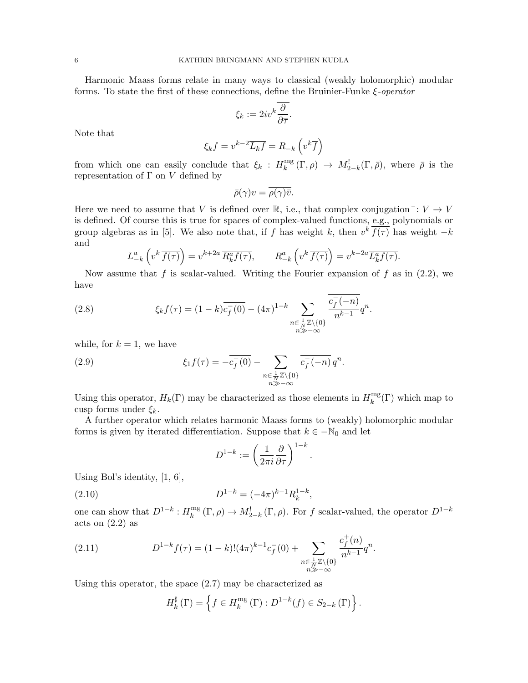Harmonic Maass forms relate in many ways to classical (weakly holomorphic) modular forms. To state the first of these connections, define the Bruinier-Funke  $\xi$ -operator

$$
\xi_k:=2iv^k\overline{\frac{\partial}{\partial\overline{\tau}}}.
$$

Note that

$$
\xi_k f = v^{k-2} \overline{L_k f} = R_{-k} \left( v^k \overline{f} \right)
$$

from which one can easily conclude that  $\xi_k$ :  $H_k^{\text{mg}}$  $\lim_{k}^{m}(\Gamma,\rho) \rightarrow M^!_{2-k}(\Gamma,\bar{\rho}),$  where  $\bar{\rho}$  is the representation of  $\Gamma$  on  $V$  defined by

$$
\bar{\rho}(\gamma)v = \overline{\rho(\gamma)}\bar{v}.
$$

Here we need to assume that V is defined over R, i.e., that complex conjugation  $\overline{\cdot}: V \to V$ is defined. Of course this is true for spaces of complex-valued functions, e.g., polynomials or group algebras as in [5]. We also note that, if f has weight k, then  $v^k \overline{f(\tau)}$  has weight  $-k$ and

$$
L_{-k}^{a}\left(v^{k}\overline{f(\tau)}\right) = v^{k+2a}\overline{R_{k}^{a}f(\tau)}, \qquad R_{-k}^{a}\left(v^{k}\overline{f(\tau)}\right) = v^{k-2a}\overline{L_{k}^{a}f(\tau)}.
$$

Now assume that f is scalar-valued. Writing the Fourier expansion of f as in  $(2.2)$ , we have

(2.8) 
$$
\xi_k f(\tau) = (1 - k) \overline{c_f^-(0)} - (4\pi)^{1-k} \sum_{\substack{n \in \frac{1}{N} \mathbb{Z} \setminus \{0\} \\ n \gg -\infty}} \frac{\overline{c_f^-(n)}}{n^{k-1}} q^n.
$$

while, for  $k = 1$ , we have

(2.9) 
$$
\xi_1 f(\tau) = -\overline{c_f^{-}(0)} - \sum_{\substack{n \in \frac{1}{N} \mathbb{Z} \setminus \{0\} \\ n \gg -\infty}} \overline{c_f^{-}(-n)} q^n.
$$

Using this operator,  $H_k(\Gamma)$  may be characterized as those elements in  $H_k^{\text{mg}}$  $\binom{mg}{k}$  which map to cusp forms under  $\xi_k$ .

A further operator which relates harmonic Maass forms to (weakly) holomorphic modular forms is given by iterated differentiation. Suppose that  $k \in -\mathbb{N}_0$  and let

$$
D^{1-k} := \left(\frac{1}{2\pi i} \frac{\partial}{\partial \tau}\right)^{1-k}
$$

.

Using Bol's identity, [1, 6],

(2.10) 
$$
D^{1-k} = (-4\pi)^{k-1} R_k^{1-k},
$$

one can show that  $D^{1-k}: H_k^{\text{mg}}$  $\lim_{k}^{mg}(\Gamma,\rho) \to M_{2-k}^{!}(\Gamma,\rho)$ . For f scalar-valued, the operator  $D^{1-k}$ acts on  $(2.2)$  as

(2.11) 
$$
D^{1-k}f(\tau) = (1-k)!(4\pi)^{k-1}c_f^-(0) + \sum_{\substack{n \in \frac{1}{N}\mathbb{Z}\setminus\{0\} \\ n \gg -\infty}} \frac{c_f^+(n)}{n^{k-1}}q^n.
$$

Using this operator, the space (2.7) may be characterized as

$$
H_k^{\sharp}(\Gamma) = \left\{ f \in H_k^{\text{mg}}(\Gamma) : D^{1-k}(f) \in S_{2-k}(\Gamma) \right\}.
$$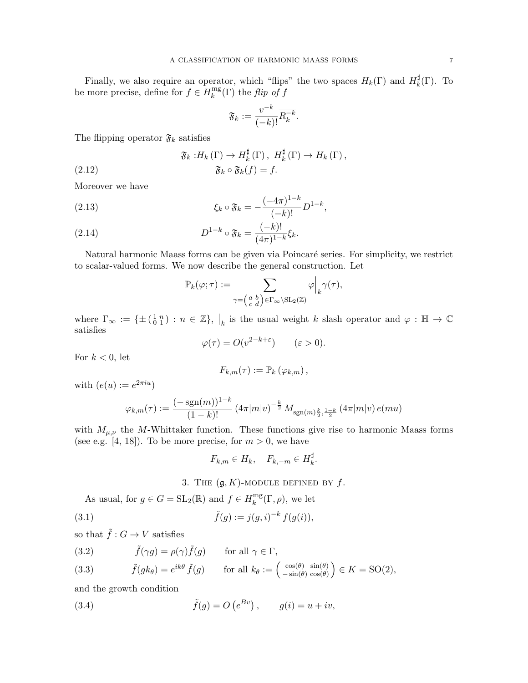Finally, we also require an operator, which "flips" the two spaces  $H_k(\Gamma)$  and  $H_k^{\sharp}$  $_{k}^{\sharp}(\Gamma)$ . To be more precise, define for  $f \in H_k^{\text{mg}}$  $\int_k^{\text{mg}}(\Gamma)$  the *flip of f* 

$$
\mathfrak{F}_k := \frac{v^{-k}}{(-k)!} \overline{R_k^{-k}}.
$$

The flipping operator  $\mathfrak{F}_k$  satisfies

(2.12) 
$$
\mathfrak{F}_k: H_k(\Gamma) \to H_k^{\sharp}(\Gamma), H_k^{\sharp}(\Gamma) \to H_k(\Gamma),
$$

$$
\mathfrak{F}_k \circ \mathfrak{F}_k(f) = f.
$$

Moreover we have

(2.13) 
$$
\xi_k \circ \mathfrak{F}_k = -\frac{(-4\pi)^{1-k}}{(-k)!} D^{1-k},
$$

(2.14) 
$$
D^{1-k} \circ \mathfrak{F}_k = \frac{(-k)!}{(4\pi)^{1-k}} \xi_k.
$$

Natural harmonic Maass forms can be given via Poincaré series. For simplicity, we restrict to scalar-valued forms. We now describe the general construction. Let

$$
\mathbb{P}_k(\varphi;\tau):=\sum_{\gamma=\left(\begin{smallmatrix}a&b\\c&d\end{smallmatrix}\right)\in\Gamma_\infty\backslash\mathrm{SL}_2(\mathbb{Z})}\varphi\Big|_k\gamma(\tau),
$$

where  $\Gamma_{\infty} := \{ \pm (\begin{smallmatrix} 1 & n \\ 0 & 1 \end{smallmatrix}) : n \in \mathbb{Z} \}, |_{k}$  is the usual weight k slash operator and  $\varphi : \mathbb{H} \to \mathbb{C}$ satisfies

$$
\varphi(\tau) = O(v^{2-k+\varepsilon}) \qquad (\varepsilon > 0).
$$

For  $k < 0$ , let

$$
F_{k,m}(\tau) := \mathbb{P}_k(\varphi_{k,m}),
$$

with  $(e(u) := e^{2\pi i u})$ 

$$
\varphi_{k,m}(\tau) := \frac{(-\operatorname{sgn}(m))^{1-k}}{(1-k)!} \left(4\pi |m|v\right)^{-\frac{k}{2}} M_{\operatorname{sgn}(m)\frac{k}{2},\frac{1-k}{2}}\left(4\pi |m|v\right) e(mu)
$$

with  $M_{\mu,\nu}$  the M-Whittaker function. These functions give rise to harmonic Maass forms (see e.g. [4, 18]). To be more precise, for  $m > 0$ , we have

$$
F_{k,m} \in H_k, \quad F_{k,-m} \in H_k^{\sharp}.
$$

3. THE  $(g, K)$ -MODULE DEFINED BY  $f$ .

As usual, for  $g \in G = SL_2(\mathbb{R})$  and  $f \in H_k^{\text{mg}}$  $k^{\text{mg}}(\Gamma, \rho)$ , we let

(3.1) 
$$
\tilde{f}(g) := j(g, i)^{-k} f(g(i)),
$$

so that  $\tilde{f}:G\to V$  satisfies

(3.2) 
$$
\tilde{f}(\gamma g) = \rho(\gamma)\tilde{f}(g)
$$
 for all  $\gamma \in \Gamma$ ,  
(3.3)  $\tilde{f}(gk_{\theta}) = e^{ik\theta} \tilde{f}(g)$  for all  $k_{\theta} := \begin{pmatrix} \cos(\theta) & \sin(\theta) \\ -\sin(\theta) & \cos(\theta) \end{pmatrix} \in K = SO(2),$ 

and the growth condition

(3.4) 
$$
\tilde{f}(g) = O(e^{Bv}), \qquad g(i) = u + iv,
$$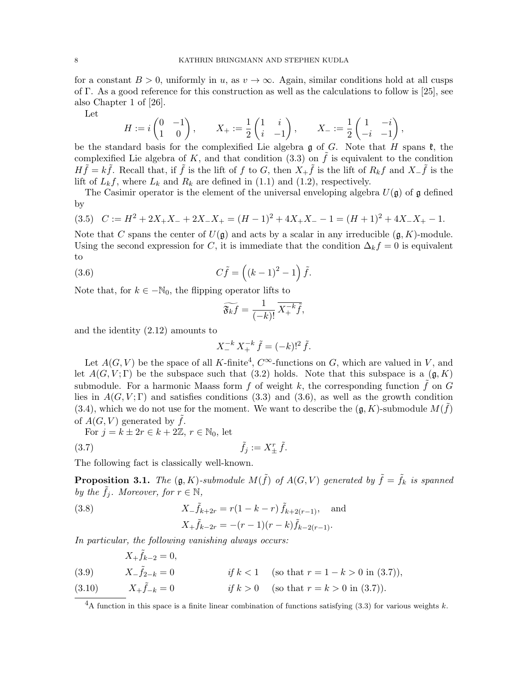for a constant  $B > 0$ , uniformly in u, as  $v \to \infty$ . Again, similar conditions hold at all cusps of Γ. As a good reference for this construction as well as the calculations to follow is [25], see also Chapter 1 of [26].

Let

$$
H := i \begin{pmatrix} 0 & -1 \\ 1 & 0 \end{pmatrix}, \qquad X_+ := \frac{1}{2} \begin{pmatrix} 1 & i \\ i & -1 \end{pmatrix}, \qquad X_- := \frac{1}{2} \begin{pmatrix} 1 & -i \\ -i & -1 \end{pmatrix},
$$

be the standard basis for the complexified Lie algebra g of G. Note that H spans  $\mathfrak{k}$ , the complexified Lie algebra of K, and that condition  $(3.3)$  on f is equivalent to the condition  $H\tilde{f} = k\tilde{f}$ . Recall that, if  $\tilde{f}$  is the lift of f to G, then  $X_+\tilde{f}$  is the lift of  $R_kf$  and  $X_-\tilde{f}$  is the lift of  $L_k f$ , where  $L_k$  and  $R_k$  are defined in (1.1) and (1.2), respectively.

The Casimir operator is the element of the universal enveloping algebra  $U(\mathfrak{g})$  of  $\mathfrak{g}$  defined by

$$
(3.5) \quad C := H^2 + 2X_+X_- + 2X_-X_+ = (H-1)^2 + 4X_+X_- - 1 = (H+1)^2 + 4X_-X_+ - 1.
$$

Note that C spans the center of  $U(\mathfrak{g})$  and acts by a scalar in any irreducible  $(\mathfrak{g}, K)$ -module. Using the second expression for C, it is immediate that the condition  $\Delta_k f = 0$  is equivalent to

(3.6) 
$$
C\tilde{f} = ((k-1)^2 - 1)\tilde{f}.
$$

Note that, for  $k \in -\mathbb{N}_0$ , the flipping operator lifts to

$$
\widetilde{\mathfrak{F}_{k}f}=\frac{1}{(-k)!}\,\overline{X_{+}^{-k}\tilde{f}},
$$

and the identity (2.12) amounts to

$$
X_{-}^{-k} X_{+}^{-k} \tilde{f} = (-k)!^{2} \tilde{f}.
$$

Let  $A(G, V)$  be the space of all K-finite<sup>4</sup>,  $C^{\infty}$ -functions on G, which are valued in V, and let  $A(G, V; \Gamma)$  be the subspace such that (3.2) holds. Note that this subspace is a  $(g, K)$ submodule. For a harmonic Maass form f of weight k, the corresponding function  $\tilde{f}$  on G lies in  $A(G, V; \Gamma)$  and satisfies conditions (3.3) and (3.6), as well as the growth condition (3.4), which we do not use for the moment. We want to describe the  $(\mathfrak{g}, K)$ -submodule  $M(\tilde{f})$ of  $A(G, V)$  generated by f.

For  $j = k \pm 2r \in k + 2\mathbb{Z}, r \in \mathbb{N}_0$ , let

$$
\tilde{f}_j := X_\pm^r \tilde{f}.
$$

The following fact is classically well-known.

**Proposition 3.1.** The  $(\mathfrak{g}, K)$ -submodule  $M(\tilde{f})$  of  $A(G, V)$  generated by  $\tilde{f} = \tilde{f}_k$  is spanned by the  $\tilde{f}_j$ . Moreover, for  $r \in \mathbb{N}$ ,

(3.8) 
$$
X_{-} \tilde{f}_{k+2r} = r(1 - k - r) \tilde{f}_{k+2(r-1)}, \text{ and}
$$

$$
X_{+} \tilde{f}_{k-2r} = -(r-1)(r-k) \tilde{f}_{k-2(r-1)}.
$$

In particular, the following vanishing always occurs:

(3.9) 
$$
X_{+} \tilde{f}_{k-2} = 0,
$$

$$
X_{-} \tilde{f}_{2-k} = 0 \qquad \text{if } k < 1 \quad \text{(so that } r = 1 - k > 0 \text{ in (3.7))},
$$

$$
X_{+} \tilde{f}_{-k} = 0 \qquad \text{if } k > 0 \quad \text{(so that } r = k > 0 \text{ in (3.7))}.
$$

<sup>&</sup>lt;sup>4</sup>A function in this space is a finite linear combination of functions satisfying (3.3) for various weights k.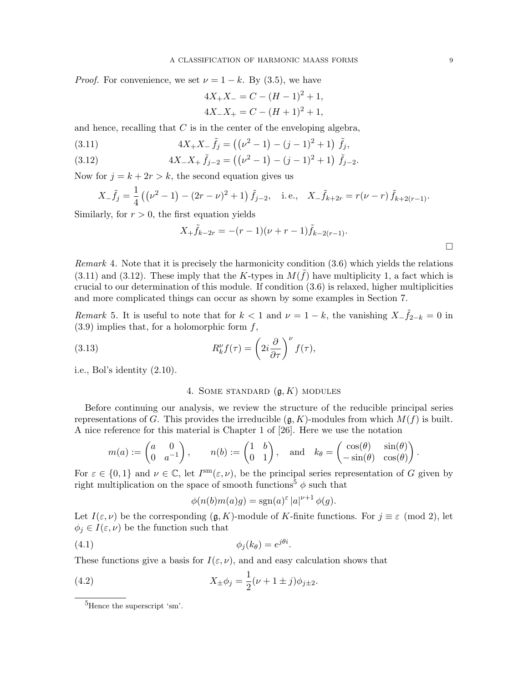*Proof.* For convenience, we set  $\nu = 1 - k$ . By (3.5), we have

$$
4X_{+}X_{-} = C - (H - 1)^{2} + 1,
$$
  

$$
4X_{-}X_{+} = C - (H + 1)^{2} + 1,
$$

and hence, recalling that  $C$  is in the center of the enveloping algebra,

(3.11) 
$$
4X_{+}X_{-}\tilde{f}_j = ((\nu^2 - 1) - (j - 1)^2 + 1)\tilde{f}_j,
$$

(3.12) 
$$
4X_{-}X_{+}\tilde{f}_{j-2} = ((\nu^2 - 1) - (j - 1)^2 + 1)\tilde{f}_{j-2}.
$$

Now for  $j = k + 2r > k$ , the second equation gives us

$$
X_{-} \tilde{f}_{j} = \frac{1}{4} \left( (\nu^{2} - 1) - (2r - \nu)^{2} + 1 \right) \tilde{f}_{j-2}, \quad \text{i.e.,} \quad X_{-} \tilde{f}_{k+2r} = r(\nu - r) \tilde{f}_{k+2(r-1)}.
$$

Similarly, for  $r > 0$ , the first equation yields

$$
X_{+}\tilde{f}_{k-2r} = -(r-1)(\nu + r - 1)\tilde{f}_{k-2(r-1)}.
$$

Remark 4. Note that it is precisely the harmonicity condition (3.6) which yields the relations (3.11) and (3.12). These imply that the K-types in  $M(\tilde{f})$  have multiplicity 1, a fact which is crucial to our determination of this module. If condition (3.6) is relaxed, higher multiplicities and more complicated things can occur as shown by some examples in Section 7.

Remark 5. It is useful to note that for  $k < 1$  and  $\nu = 1 - k$ , the vanishing  $X - \tilde{f}_{2-k} = 0$  in  $(3.9)$  implies that, for a holomorphic form  $f$ ,

(3.13) 
$$
R_k^{\nu} f(\tau) = \left(2i \frac{\partial}{\partial \tau}\right)^{\nu} f(\tau),
$$

i.e., Bol's identity (2.10).

# 4. SOME STANDARD  $(g, K)$  MODULES

Before continuing our analysis, we review the structure of the reducible principal series representations of G. This provides the irreducible  $(g, K)$ -modules from which  $M(f)$  is built. A nice reference for this material is Chapter 1 of [26]. Here we use the notation

$$
m(a) := \begin{pmatrix} a & 0 \\ 0 & a^{-1} \end{pmatrix}, \quad n(b) := \begin{pmatrix} 1 & b \\ 0 & 1 \end{pmatrix}, \text{ and } k_{\theta} = \begin{pmatrix} \cos(\theta) & \sin(\theta) \\ -\sin(\theta) & \cos(\theta) \end{pmatrix}.
$$

For  $\varepsilon \in \{0,1\}$  and  $\nu \in \mathbb{C}$ , let  $I^{\text{sm}}(\varepsilon,\nu)$ , be the principal series representation of G given by right multiplication on the space of smooth functions<sup>5</sup>  $\phi$  such that

$$
\phi(n(b)m(a)g) = \operatorname{sgn}(a)^{\varepsilon} |a|^{\nu+1} \phi(g).
$$

Let  $I(\varepsilon,\nu)$  be the corresponding  $(\mathfrak{g},K)$ -module of K-finite functions. For  $j \equiv \varepsilon \pmod{2}$ , let  $\phi_j \in I(\varepsilon, \nu)$  be the function such that

$$
\phi_j(k_\theta) = e^{j\theta i}.
$$

These functions give a basis for  $I(\varepsilon, \nu)$ , and and easy calculation shows that

(4.2) 
$$
X_{\pm}\phi_j = \frac{1}{2}(\nu + 1 \pm j)\phi_{j\pm 2}.
$$

 $\Box$ 

<sup>&</sup>lt;sup>5</sup>Hence the superscript 'sm'.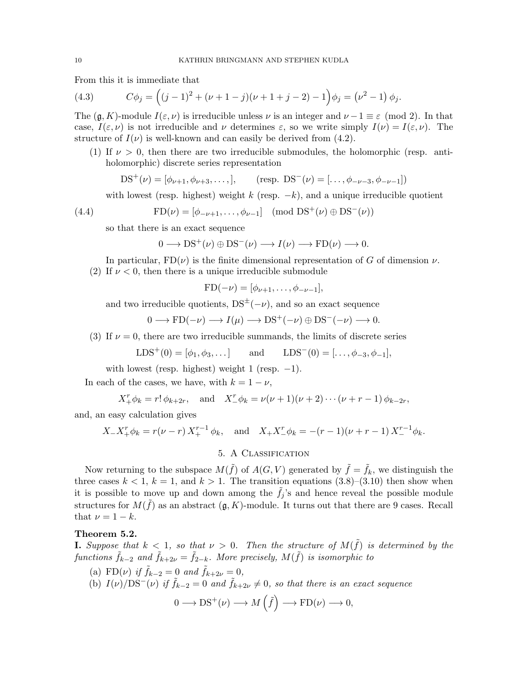From this it is immediate that

(4.3) 
$$
C\phi_j = ((j-1)^2 + (\nu + 1 - j)(\nu + 1 + j - 2) - 1)\phi_j = (\nu^2 - 1)\phi_j.
$$

The  $(\mathfrak{g}, K)$ -module  $I(\varepsilon, \nu)$  is irreducible unless  $\nu$  is an integer and  $\nu -1 \equiv \varepsilon \pmod{2}$ . In that case,  $I(\varepsilon,\nu)$  is not irreducible and  $\nu$  determines  $\varepsilon$ , so we write simply  $I(\nu) = I(\varepsilon,\nu)$ . The structure of  $I(\nu)$  is well-known and can easily be derived from (4.2).

(1) If  $\nu > 0$ , then there are two irreducible submodules, the holomorphic (resp. antiholomorphic) discrete series representation

$$
DS^{+}(\nu) = [\phi_{\nu+1}, \phi_{\nu+3}, \dots], \qquad (\text{resp. } DS^{-}(\nu) = [\dots, \phi_{-\nu-3}, \phi_{-\nu-1}])
$$

with lowest (resp. highest) weight k (resp.  $-k$ ), and a unique irreducible quotient

(4.4) 
$$
FD(\nu) = [\phi_{-\nu+1}, \dots, \phi_{\nu-1}] \pmod{DS^{+}(\nu) \oplus DS^{-}(\nu)}
$$

so that there is an exact sequence

$$
0 \longrightarrow DS^{+}(\nu) \oplus DS^{-}(\nu) \longrightarrow I(\nu) \longrightarrow FD(\nu) \longrightarrow 0.
$$

In particular,  $FD(\nu)$  is the finite dimensional representation of G of dimension  $\nu$ . (2) If  $\nu < 0$ , then there is a unique irreducible submodule

$$
FD(-\nu) = [\phi_{\nu+1}, \dots, \phi_{-\nu-1}],
$$

and two irreducible quotients,  $DS^{\pm}(-\nu)$ , and so an exact sequence

$$
0 \longrightarrow \text{FD}(-\nu) \longrightarrow I(\mu) \longrightarrow \text{DS}^+(-\nu) \oplus \text{DS}^-(-\nu) \longrightarrow 0.
$$

(3) If  $\nu = 0$ , there are two irreducible summands, the limits of discrete series

$$
LDS^{+}(0) = [\phi_1, \phi_3, \dots] \quad \text{and} \quad LDS^{-}(0) = [\dots, \phi_{-3}, \phi_{-1}],
$$

with lowest (resp. highest) weight 1 (resp.  $-1$ ).

In each of the cases, we have, with  $k = 1 - \nu$ ,

$$
X_{+}^{r} \phi_{k} = r! \phi_{k+2r}
$$
, and  $X_{-}^{r} \phi_{k} = \nu(\nu+1)(\nu+2) \cdots (\nu+r-1) \phi_{k-2r}$ ,

and, an easy calculation gives

$$
X_{-}X_{+}^{r}\phi_{k} = r(\nu - r)X_{+}^{r-1}\phi_{k}, \text{ and } X_{+}X_{-}^{r}\phi_{k} = -(r-1)(\nu + r - 1)X_{-}^{r-1}\phi_{k}.
$$

# 5. A Classification

Now returning to the subspace  $M(\tilde{f})$  of  $A(G, V)$  generated by  $\tilde{f} = \tilde{f}_k$ , we distinguish the three cases  $k < 1$ ,  $k = 1$ , and  $k > 1$ . The transition equations  $(3.8)$ – $(3.10)$  then show when it is possible to move up and down among the  $\tilde{f}_i$ 's and hence reveal the possible module structures for  $M(\tilde{f})$  as an abstract  $(\mathfrak{g}, K)$ -module. It turns out that there are 9 cases. Recall that  $\nu = 1 - k$ .

#### Theorem 5.2.

**I.** Suppose that  $k < 1$ , so that  $\nu > 0$ . Then the structure of  $M(\tilde{f})$  is determined by the functions  $\tilde{f}_{k-2}$  and  $\tilde{f}_{k+2\nu} = \tilde{f}_{2-k}$ . More precisely,  $M(\tilde{f})$  is isomorphic to

- (a) FD( $\nu$ ) if  $\tilde{f}_{k-2} = 0$  and  $\tilde{f}_{k+2\nu} = 0$ ,
- (b)  $I(\nu)/DS^{-}(\nu)$  if  $\tilde{f}_{k-2} = 0$  and  $\tilde{f}_{k+2\nu} \neq 0$ , so that there is an exact sequence

$$
0 \longrightarrow DS^{+}(\nu) \longrightarrow M(\tilde{f}) \longrightarrow FD(\nu) \longrightarrow 0,
$$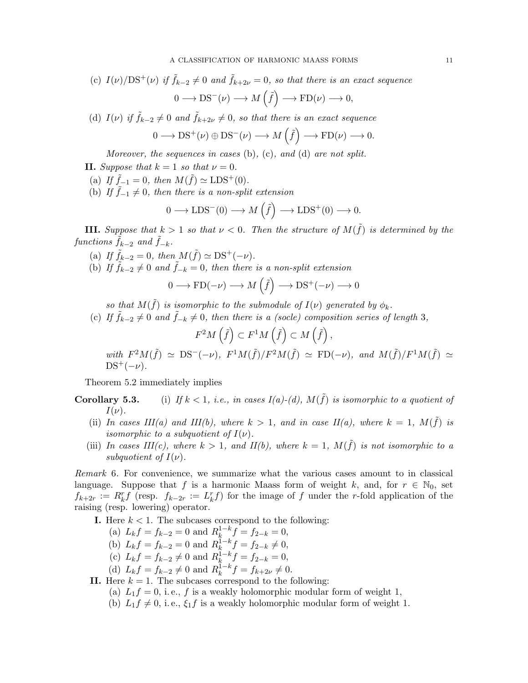(c) 
$$
I(\nu)/DS^+(\nu)
$$
 if  $\tilde{f}_{k-2} \neq 0$  and  $\tilde{f}_{k+2\nu} = 0$ , so that there is an exact sequence  

$$
0 \longrightarrow DS^-(\nu) \longrightarrow M(\tilde{f}) \longrightarrow FD(\nu) \longrightarrow 0,
$$

(d)  $I(\nu)$  if  $\tilde{f}_{k-2} \neq 0$  and  $\tilde{f}_{k+2\nu} \neq 0$ , so that there is an exact sequence

$$
0 \longrightarrow DS^{+}(\nu) \oplus DS^{-}(\nu) \longrightarrow M(\tilde{f}) \longrightarrow FD(\nu) \longrightarrow 0.
$$

Moreover, the sequences in cases (b), (c), and (d) are not split.

- II. Suppose that  $k = 1$  so that  $\nu = 0$ .
- (a) If  $\tilde{f}_{-1} = 0$ , then  $M(\tilde{f}) \simeq \text{LDS}^+(0)$ .
- (b) If  $\tilde{f}_{-1} \neq 0$ , then there is a non-split extension

$$
0 \longrightarrow \text{LDS}^{-}(0) \longrightarrow M\left(\tilde{f}\right) \longrightarrow \text{LDS}^{+}(0) \longrightarrow 0.
$$

**III.** Suppose that  $k > 1$  so that  $\nu < 0$ . Then the structure of  $M(\tilde{f})$  is determined by the functions  $f_{k-2}$  and  $\tilde{f}_{-k}$ .

- (a) If  $\tilde{f}_{k-2} = 0$ , then  $M(\tilde{f}) \simeq \text{DS}^+(-\nu)$ .
- (b) If  $\tilde{f}_{k-2} \neq 0$  and  $\tilde{f}_{-k} = 0$ , then there is a non-split extension

$$
0 \longrightarrow \text{FD}(-\nu) \longrightarrow M\left(\tilde{f}\right) \longrightarrow \text{DS}^+(-\nu) \longrightarrow 0
$$

so that  $M(\tilde{f})$  is isomorphic to the submodule of  $I(\nu)$  generated by  $\phi_k$ .

(c) If  $\tilde{f}_{k-2} \neq 0$  and  $\tilde{f}_{-k} \neq 0$ , then there is a (socle) composition series of length 3,

$$
F^2M\left(\tilde{f}\right)\subset F^1M\left(\tilde{f}\right)\subset M\left(\tilde{f}\right),\,
$$

with  $F^2M(\tilde{f}) \simeq \text{DS}^-(-\nu)$ ,  $F^1M(\tilde{f})/F^2M(\tilde{f}) \simeq \text{FD}(-\nu)$ , and  $M(\tilde{f})/F^1M(\tilde{f}) \simeq$  $DS^+(-\nu)$ .

Theorem 5.2 immediately implies

**Corollary 5.3.** (i) If  $k < 1$ , i.e., in cases  $I(a)-(d)$ ,  $M(f)$  is isomorphic to a quotient of  $I(\nu)$ .

- (ii) In cases III(a) and III(b), where  $k > 1$ , and in case II(a), where  $k = 1$ ,  $M(\tilde{f})$  is *isomorphic to a subquotient of*  $I(\nu)$ .
- (iii) In cases III(c), where  $k > 1$ , and II(b), where  $k = 1$ ,  $M(\tilde{f})$  is not isomorphic to a subquotient of  $I(\nu)$ .

Remark 6. For convenience, we summarize what the various cases amount to in classical language. Suppose that f is a harmonic Maass form of weight k, and, for  $r \in \mathbb{N}_0$ , set  $f_{k+2r} := R_k^r f$  (resp.  $f_{k-2r} := L_k^r f$ ) for the image of f under the r-fold application of the raising (resp. lowering) operator.

- **I.** Here  $k < 1$ . The subcases correspond to the following:
	- (a)  $L_k f = f_{k-2} = 0$  and  $R_k^{1-k}$  $\int_{k}^{1-k} f = f_{2-k} = 0,$
	- (b)  $L_k f = f_{k-2} = 0$  and  $R_k^{1-k}$  $\frac{1-k}{k}f = f_{2-k} \neq 0,$
	- (c)  $L_k f = f_{k-2} \neq 0$  and  $R_k^{1-k}$  $\int_{k}^{1-k} f = f_{2-k} = 0,$
	- (d)  $L_k f = f_{k-2} \neq 0$  and  $R_k^{1-k}$  $k^{1-k} f = f_{k+2\nu} \neq 0.$
- II. Here  $k = 1$ . The subcases correspond to the following:
	- (a)  $L_1 f = 0$ , i.e., f is a weakly holomorphic modular form of weight 1,
		- (b)  $L_1 f \neq 0$ , i.e.,  $\xi_1 f$  is a weakly holomorphic modular form of weight 1.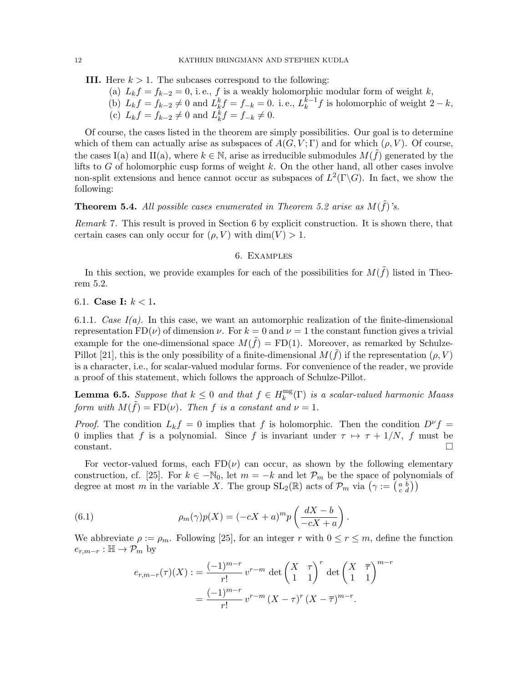**III.** Here  $k > 1$ . The subcases correspond to the following:

- (a)  $L_k f = f_{k-2} = 0$ , i.e., f is a weakly holomorphic modular form of weight k,
- (b)  $L_k f = f_{k-2} \neq 0$  and  $L_k^k f = f_{-k} = 0$ . i.e.,  $L_k^{k-1}$  $k^{k-1} f$  is holomorphic of weight  $2-k$ , (c)  $L_k f = f_{k-2} \neq 0$  and  $L_k^k f = f_{-k} \neq 0$ .

Of course, the cases listed in the theorem are simply possibilities. Our goal is to determine which of them can actually arise as subspaces of  $A(G, V; \Gamma)$  and for which  $(\rho, V)$ . Of course, the cases I(a) and II(a), where  $k \in \mathbb{N}$ , arise as irreducible submodules  $M(\tilde{f})$  generated by the lifts to  $G$  of holomorphic cusp forms of weight  $k$ . On the other hand, all other cases involve non-split extensions and hence cannot occur as subspaces of  $L^2(\Gamma \backslash G)$ . In fact, we show the following:

# **Theorem 5.4.** All possible cases enumerated in Theorem 5.2 arise as  $M(\tilde{f})$ 's.

Remark 7. This result is proved in Section 6 by explicit construction. It is shown there, that certain cases can only occur for  $(\rho, V)$  with  $\dim(V) > 1$ .

### 6. Examples

In this section, we provide examples for each of the possibilities for  $M(\tilde{f})$  listed in Theorem 5.2.

6.1. **Case I:**  $k < 1$ .

6.1.1. Case  $I(a)$ . In this case, we want an automorphic realization of the finite-dimensional representation FD( $\nu$ ) of dimension  $\nu$ . For  $k = 0$  and  $\nu = 1$  the constant function gives a trivial example for the one-dimensional space  $M(\tilde{f}) = FD(1)$ . Moreover, as remarked by Schulze-Pillot [21], this is the only possibility of a finite-dimensional  $M(\tilde{f})$  if the representation  $(\rho, V)$ is a character, i.e., for scalar-valued modular forms. For convenience of the reader, we provide a proof of this statement, which follows the approach of Schulze-Pillot.

**Lemma 6.5.** Suppose that  $k \leq 0$  and that  $f \in H_k^{\text{mg}}$  $\mathbb{R}^{\text{mg}}(\Gamma)$  is a scalar-valued harmonic Maass form with  $M(\tilde{f}) = FD(\nu)$ . Then f is a constant and  $\nu = 1$ .

*Proof.* The condition  $L_k f = 0$  implies that f is holomorphic. Then the condition  $D^{\nu} f =$ 0 implies that f is a polynomial. Since f is invariant under  $\tau \mapsto \tau + 1/N$ , f must be constant.

For vector-valued forms, each  $FD(\nu)$  can occur, as shown by the following elementary construction, cf. [25]. For  $k \in -\mathbb{N}_0$ , let  $m = -k$  and let  $\mathcal{P}_m$  be the space of polynomials of degree at most m in the variable X. The group  $SL_2(\mathbb{R})$  acts of  $\mathcal{P}_m$  via  $(\gamma := \begin{pmatrix} a & b \\ c & d \end{pmatrix})$ 

(6.1) 
$$
\rho_m(\gamma)p(X) = (-cX + a)^m p\left(\frac{dX - b}{-cX + a}\right).
$$

We abbreviate  $\rho := \rho_m$ . Following [25], for an integer r with  $0 \le r \le m$ , define the function  $e_{r,m-r} : \mathbb{H} \to \mathcal{P}_m$  by

$$
e_{r,m-r}(\tau)(X) := \frac{(-1)^{m-r}}{r!} v^{r-m} \det \begin{pmatrix} X & \tau \\ 1 & 1 \end{pmatrix}^r \det \begin{pmatrix} X & \overline{\tau} \\ 1 & 1 \end{pmatrix}^{m-r} = \frac{(-1)^{m-r}}{r!} v^{r-m} (X - \tau)^r (X - \overline{\tau})^{m-r}.
$$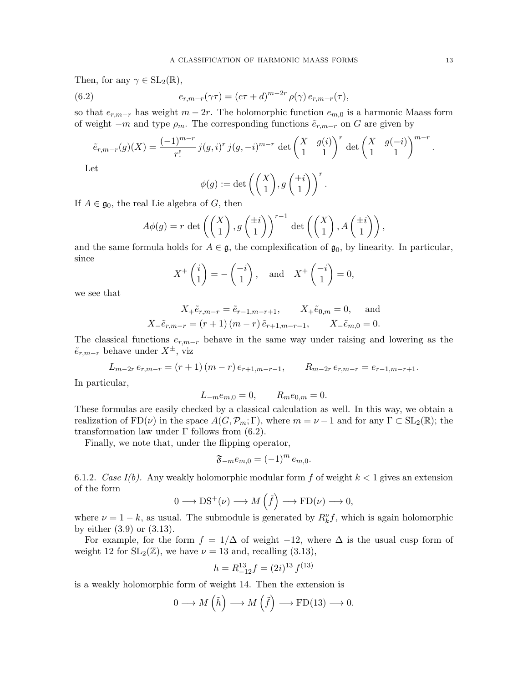Then, for any  $\gamma \in SL_2(\mathbb{R}),$ 

(6.2) 
$$
e_{r,m-r}(\gamma \tau) = (c\tau + d)^{m-2r} \rho(\gamma) e_{r,m-r}(\tau),
$$

so that  $e_{r,m-r}$  has weight  $m-2r$ . The holomorphic function  $e_{m,0}$  is a harmonic Maass form of weight  $-m$  and type  $\rho_m$ . The corresponding functions  $\tilde{e}_{r,m-r}$  on G are given by

$$
\tilde{e}_{r,m-r}(g)(X) = \frac{(-1)^{m-r}}{r!} j(g,i)^r j(g,-i)^{m-r} \det \begin{pmatrix} X & g(i) \\ 1 & 1 \end{pmatrix}^r \det \begin{pmatrix} X & g(-i) \\ 1 & 1 \end{pmatrix}^{m-r}
$$

Let

$$
\phi(g) := \det \left( \begin{pmatrix} X \\ 1 \end{pmatrix}, g \begin{pmatrix} \pm i \\ 1 \end{pmatrix} \right)^r.
$$

If  $A \in \mathfrak{g}_0$ , the real Lie algebra of G, then

$$
A\phi(g) = r \det\left(\begin{pmatrix} X \\ 1 \end{pmatrix}, g\begin{pmatrix} \pm i \\ 1 \end{pmatrix}\right)^{r-1} \det\left(\begin{pmatrix} X \\ 1 \end{pmatrix}, A\begin{pmatrix} \pm i \\ 1 \end{pmatrix}\right),
$$

and the same formula holds for  $A \in \mathfrak{g}$ , the complexification of  $\mathfrak{g}_0$ , by linearity. In particular, since

$$
X^+\begin{pmatrix}i\\1\end{pmatrix} = -\begin{pmatrix}-i\\1\end{pmatrix}, \text{ and } X^+\begin{pmatrix}-i\\1\end{pmatrix} = 0,
$$

we see that

$$
X_{+}\tilde{e}_{r,m-r} = \tilde{e}_{r-1,m-r+1}, \qquad X_{+}\tilde{e}_{0,m} = 0, \quad \text{and}
$$
  

$$
X_{-}\tilde{e}_{r,m-r} = (r+1)(m-r)\tilde{e}_{r+1,m-r-1}, \qquad X_{-}\tilde{e}_{m,0} = 0.
$$

The classical functions  $e_{r,m-r}$  behave in the same way under raising and lowering as the  $\tilde{e}_{r,m-r}$  behave under  $X^{\pm}$ , viz

$$
L_{m-2r} e_{r,m-r} = (r+1) (m-r) e_{r+1,m-r-1}, \qquad R_{m-2r} e_{r,m-r} = e_{r-1,m-r+1}.
$$

In particular,

$$
L_{-m}e_{m,0}=0, \qquad R_{m}e_{0,m}=0.
$$

These formulas are easily checked by a classical calculation as well. In this way, we obtain a realization of  $FD(\nu)$  in the space  $A(G, \mathcal{P}_m; \Gamma)$ , where  $m = \nu - 1$  and for any  $\Gamma \subset SL_2(\mathbb{R})$ ; the transformation law under Γ follows from (6.2).

Finally, we note that, under the flipping operator,

$$
\mathfrak{F}_{-m}e_{m,0}=(-1)^m e_{m,0}.
$$

6.1.2. Case  $I(b)$ . Any weakly holomorphic modular form f of weight  $k < 1$  gives an extension of the form

$$
0 \longrightarrow DS^{+}(\nu) \longrightarrow M(\tilde{f}) \longrightarrow FD(\nu) \longrightarrow 0,
$$

where  $\nu = 1 - k$ , as usual. The submodule is generated by  $R_k^{\nu} f$ , which is again holomorphic by either (3.9) or (3.13).

For example, for the form  $f = 1/\Delta$  of weight -12, where  $\Delta$  is the usual cusp form of weight 12 for  $SL_2(\mathbb{Z})$ , we have  $\nu = 13$  and, recalling (3.13),

$$
h = R_{-12}^{13} f = (2i)^{13} f^{(13)}
$$

is a weakly holomorphic form of weight 14. Then the extension is

$$
0 \longrightarrow M\left(\tilde{h}\right) \longrightarrow M\left(\tilde{f}\right) \longrightarrow FD(13) \longrightarrow 0.
$$

.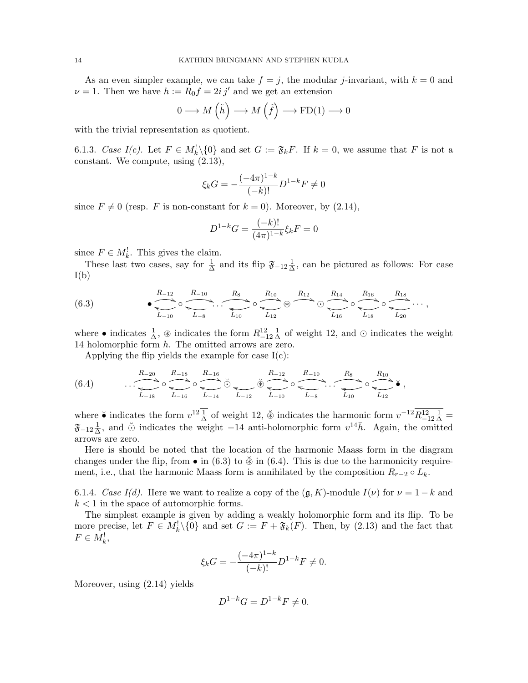As an even simpler example, we can take  $f = j$ , the modular j-invariant, with  $k = 0$  and  $\nu = 1$ . Then we have  $h := R_0 f = 2i j'$  and we get an extension

$$
0 \longrightarrow M\left(\tilde{h}\right) \longrightarrow M\left(\tilde{f}\right) \longrightarrow \mathrm{FD}(1) \longrightarrow 0
$$

with the trivial representation as quotient.

6.1.3. Case  $I(c)$ . Let  $F \in M_k^{\{1\}}\{0\}$  and set  $G := \mathfrak{F}_k F$ . If  $k = 0$ , we assume that F is not a constant. We compute, using (2.13),

$$
\xi_k G = -\frac{(-4\pi)^{1-k}}{(-k)!} D^{1-k} F \neq 0
$$

since  $F \neq 0$  (resp. F is non-constant for  $k = 0$ ). Moreover, by (2.14),

$$
D^{1-k}G = \frac{(-k)!}{(4\pi)^{1-k}} \xi_k F = 0
$$

since  $F \in M_k^!$ . This gives the claim.

These last two cases, say for  $\frac{1}{\Delta}$  and its flip  $\mathfrak{F}_{-12} \frac{1}{\Delta}$  $\frac{1}{\Delta}$ , can be pictured as follows: For case  $I(b)$ 

(6.3) • R−<sup>12</sup> ( ◦ L−<sup>10</sup> h R−<sup>10</sup> ( . . . L−<sup>8</sup> i R<sup>8</sup> ) ◦ R<sup>10</sup> ) L<sup>10</sup> <sup>l</sup> <sup>~</sup> L<sup>12</sup> h R<sup>12</sup> ) R<sup>14</sup> ( ◦ R<sup>16</sup> ( L<sup>16</sup> <sup>i</sup> ◦ L<sup>18</sup> h R<sup>18</sup> \* · · · L<sup>20</sup> h ,

where • indicates  $\frac{1}{\Delta}$ ,  $\circledast$  indicates the form  $R_{-12}^{12} \frac{1}{\Delta}$  $\frac{1}{\Delta}$  of weight 12, and  $\odot$  indicates the weight 14 holomorphic form h. The omitted arrows are zero.

Applying the flip yields the example for case  $I(c)$ :

$$
(6.4) \qquad \qquad \overbrace{\hspace{1.5cm} \sum_{L_{-18}}^{R_{-20}} \circ \underbrace{\hspace{1.5cm} \sum_{L_{-16}}^{R_{-18}} \circ \underbrace{\hspace{1.5cm} \sum_{L_{-14}}^{R_{-16}} \circ \underbrace{\hspace{1.5cm} \sum_{L_{-12}}^{R_{-12}} \circ \underbrace{\hspace{1.5cm} \sum_{L_{-8}}^{R_{-10}} \circ \underbrace{\hspace{1.5cm} \sum_{L_{10}}^{R_8}}_{L_{10}} \circ \underbrace{\hspace{1.5cm} \sum_{L_{12}}^{R_{10}} \circ \underbrace{\hspace{1.5cm} \sum_{L_{12}}^{R_{10}} \circ \underbrace{\hspace{1.5cm} \sum_{L_{12}}^{R_{10}} \circ \underbrace{\hspace{1.5cm} \sum_{L_{12}}^{R_{10}} \circ \underbrace{\hspace{1.5cm} \sum_{L_{12}}^{R_{10}} \circ \underbrace{\hspace{1.5cm} \sum_{L_{12}}^{R_{10}} \circ \underbrace{\hspace{1.5cm} \sum_{L_{12}}^{R_{10}} \circ \underbrace{\hspace{1.5cm} \sum_{L_{12}}^{R_{10}} \circ \underbrace{\hspace{1.5cm} \sum_{L_{12}}^{R_{10}} \circ \underbrace{\hspace{1.5cm} \sum_{L_{12}}^{R_{10}} \circ \underbrace{\hspace{1.5cm} \sum_{L_{12}}^{R_{10}} \circ \underbrace{\hspace{1.5cm} \sum_{L_{12}}^{R_{10}} \circ \underbrace{\hspace{1.5cm} \sum_{L_{12}}^{R_{10}} \circ \underbrace{\hspace{1.5cm} \sum_{L_{12}}^{R_{10}} \circ \underbrace{\hspace{1.5cm} \sum_{L_{12}}^{R_{10}} \circ \underbrace{\hspace{1.5cm} \sum_{L_{12}}^{R_{10}} \circ \underbrace{\hspace{1.5cm} \sum_{L_{12}}^{R_{10}} \circ \underbrace{\hspace{1.5cm} \sum_{L_{12}}^{R_{10}} \circ \underbrace{\hspace{1.5cm} \sum_{L_{12}}^{R_{10}} \circ \underbrace{\hspace{1.5cm} \sum_{L_{12}}^{R_{10}} \circ \underbrace{\hspace{
$$

where  $\bullet$  indicates the form  $v^{12} \frac{1}{\Delta}$  of weight 12,  $\breve{\otimes}$  indicates the harmonic form  $v^{-12} \overline{R^{12}_{-12} \frac{1}{\Delta}} =$  $\mathfrak{F}_{-12} \frac{1}{\Delta}$  $\frac{1}{\Delta}$ , and  $\breve{\odot}$  indicates the weight −14 anti-holomorphic form  $v^{14}\bar{h}$ . Again, the omitted arrows are zero.

Here is should be noted that the location of the harmonic Maass form in the diagram changes under the flip, from  $\bullet$  in (6.3) to  $\check{\otimes}$  in (6.4). This is due to the harmonicity requirement, i.e., that the harmonic Maass form is annihilated by the composition  $R_{r-2} \circ L_k$ .

6.1.4. Case I(d). Here we want to realize a copy of the  $(\mathfrak{g}, K)$ -module  $I(\nu)$  for  $\nu = 1 - k$  and  $k < 1$  in the space of automorphic forms.

The simplest example is given by adding a weakly holomorphic form and its flip. To be more precise, let  $F \in M_k^1 \backslash \{0\}$  and set  $G := F + \mathfrak{F}_k(F)$ . Then, by (2.13) and the fact that  $F \in M_k^!$ 

$$
\xi_k G = -\frac{(-4\pi)^{1-k}}{(-k)!} D^{1-k} F \neq 0.
$$

Moreover, using (2.14) yields

$$
D^{1-k}G = D^{1-k}F \neq 0.
$$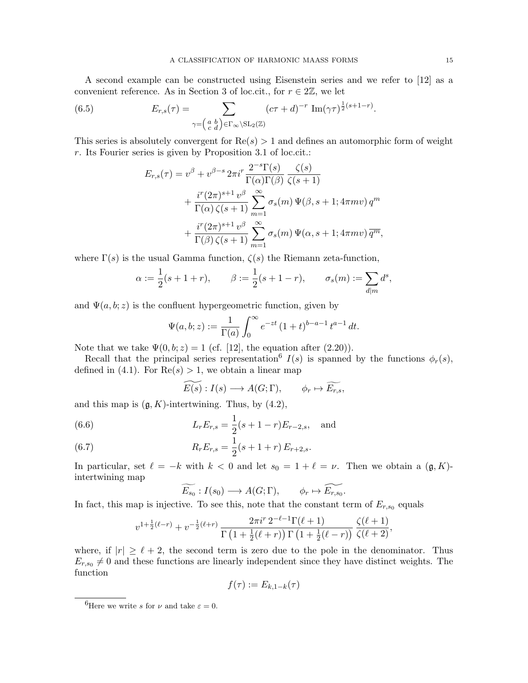A second example can be constructed using Eisenstein series and we refer to [12] as a convenient reference. As in Section 3 of loc.cit., for  $r \in 2\mathbb{Z}$ , we let

(6.5) 
$$
E_{r,s}(\tau) = \sum_{\gamma = \begin{pmatrix} a & b \\ c & d \end{pmatrix} \in \Gamma_{\infty} \backslash \mathrm{SL}_2(\mathbb{Z})} (c\tau + d)^{-r} \operatorname{Im}(\gamma \tau)^{\frac{1}{2}(s+1-r)}.
$$

This series is absolutely convergent for  $\text{Re}(s) > 1$  and defines an automorphic form of weight r. Its Fourier series is given by Proposition 3.1 of loc.cit.:

$$
E_{r,s}(\tau) = v^{\beta} + v^{\beta-s} 2\pi i^{r} \frac{2^{-s} \Gamma(s)}{\Gamma(\alpha) \Gamma(\beta)} \frac{\zeta(s)}{\zeta(s+1)}
$$
  
+ 
$$
\frac{i^{r} (2\pi)^{s+1} v^{\beta}}{\Gamma(\alpha) \zeta(s+1)} \sum_{m=1}^{\infty} \sigma_{s}(m) \Psi(\beta, s+1; 4\pi mv) q^{m}
$$
  
+ 
$$
\frac{i^{r} (2\pi)^{s+1} v^{\beta}}{\Gamma(\beta) \zeta(s+1)} \sum_{m=1}^{\infty} \sigma_{s}(m) \Psi(\alpha, s+1; 4\pi mv) \overline{q^{m}},
$$

where  $\Gamma(s)$  is the usual Gamma function,  $\zeta(s)$  the Riemann zeta-function,

$$
\alpha := \frac{1}{2}(s+1+r), \qquad \beta := \frac{1}{2}(s+1-r), \qquad \sigma_s(m) := \sum_{d|m} d^s,
$$

and  $\Psi(a, b; z)$  is the confluent hypergeometric function, given by

$$
\Psi(a, b; z) := \frac{1}{\Gamma(a)} \int_0^\infty e^{-zt} (1+t)^{b-a-1} t^{a-1} dt.
$$

Note that we take  $\Psi(0, b; z) = 1$  (cf. [12], the equation after (2.20)).

Recall that the principal series representation<sup>6</sup>  $I(s)$  is spanned by the functions  $\phi_r(s)$ , defined in (4.1). For  $\text{Re}(s) > 1$ , we obtain a linear map

$$
\widetilde{E(s)}: I(s) \longrightarrow A(G; \Gamma), \qquad \phi_r \mapsto \widetilde{E_{r,s}},
$$

and this map is  $(\mathfrak{g}, K)$ -intertwining. Thus, by  $(4.2)$ ,

(6.6) 
$$
L_r E_{r,s} = \frac{1}{2}(s+1-r)E_{r-2,s}, \text{ and}
$$

(6.7) 
$$
R_r E_{r,s} = \frac{1}{2}(s+1+r) E_{r+2,s}.
$$

In particular, set  $\ell = -k$  with  $k < 0$  and let  $s_0 = 1 + \ell = \nu$ . Then we obtain a  $(\mathfrak{g}, K)$ intertwining map

$$
\widetilde{E_{s_0}}: I(s_0) \longrightarrow A(G; \Gamma), \qquad \phi_r \mapsto \widetilde{E_{r,s_0}}.
$$

In fact, this map is injective. To see this, note that the constant term of  $E_{r,s_0}$  equals

$$
v^{1+\frac{1}{2}(\ell-r)} + v^{-\frac{1}{2}(\ell+r)} \frac{2\pi i^r 2^{-\ell-1} \Gamma(\ell+1)}{\Gamma(1+\frac{1}{2}(\ell+r)) \Gamma(1+\frac{1}{2}(\ell-r))} \frac{\zeta(\ell+1)}{\zeta(\ell+2)},
$$

where, if  $|r| \geq \ell + 2$ , the second term is zero due to the pole in the denominator. Thus  $E_{r,s_0} \neq 0$  and these functions are linearly independent since they have distinct weights. The function

$$
f(\tau) := E_{k,1-k}(\tau)
$$

<sup>&</sup>lt;sup>6</sup>Here we write s for  $\nu$  and take  $\varepsilon = 0$ .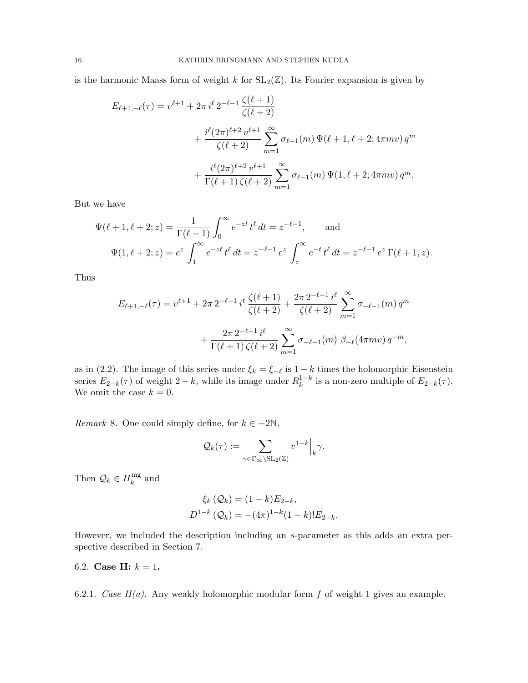is the harmonic Maass form of weight k for  $SL_2(\mathbb{Z})$ . Its Fourier expansion is given by

$$
E_{\ell+1,-\ell}(\tau) = v^{\ell+1} + 2\pi i^{\ell} 2^{-\ell-1} \frac{\zeta(\ell+1)}{\zeta(\ell+2)} + \frac{i^{\ell}(2\pi)^{\ell+2} v^{\ell+1}}{\zeta(\ell+2)} \sum_{m=1}^{\infty} \sigma_{\ell+1}(m) \Psi(\ell+1,\ell+2; 4\pi mv) q^m + \frac{i^{\ell}(2\pi)^{\ell+2} v^{\ell+1}}{\Gamma(\ell+1) \zeta(\ell+2)} \sum_{m=1}^{\infty} \sigma_{\ell+1}(m) \Psi(1,\ell+2; 4\pi mv) \overline{q^m}.
$$

But we have

$$
\Psi(\ell+1,\ell+2;z) = \frac{1}{\Gamma(\ell+1)} \int_0^\infty e^{-zt} t^{\ell} dt = z^{-\ell-1}, \quad \text{and}
$$

$$
\Psi(1,\ell+2;z) = e^z \int_1^\infty e^{-zt} t^{\ell} dt = z^{-\ell-1} e^z \int_z^\infty e^{-t} t^{\ell} dt = z^{-\ell-1} e^z \Gamma(\ell+1,z).
$$

Thus

$$
E_{\ell+1,-\ell}(\tau) = v^{\ell+1} + 2\pi \, 2^{-\ell-1} \, i^{\ell} \, \frac{\zeta(\ell+1)}{\zeta(\ell+2)} + \frac{2\pi \, 2^{-\ell-1} \, i^{\ell}}{\zeta(\ell+2)} \sum_{m=1}^{\infty} \sigma_{-\ell-1}(m) \, q^m
$$

$$
+ \frac{2\pi \, 2^{-\ell-1} \, i^{\ell}}{\Gamma(\ell+1) \, \zeta(\ell+2)} \sum_{m=1}^{\infty} \sigma_{-\ell-1}(m) \, \beta_{-\ell}(4\pi m v) \, q^{-m},
$$

as in (2.2). The image of this series under  $\xi_k = \xi_{-\ell}$  is  $1 - k$  times the holomorphic Eisenstein series  $E_{2-k}(\tau)$  of weight  $2-k$ , while its image under  $R_k^{1-k}$  $\frac{1-k}{k}$  is a non-zero multiple of  $E_{2-k}(\tau)$ . We omit the case  $k = 0$ .

*Remark* 8. One could simply define, for  $k \in -2\mathbb{N}$ ,

$$
\mathcal{Q}_k(\tau) := \sum_{\gamma \in \Gamma_\infty \backslash \mathrm{SL}_2(\mathbb{Z})} v^{1-k} \Big|_k \gamma.
$$

Then  $\mathcal{Q}_k \in H_k^{\text{mg}}$  $\frac{mg}{k}$  and

$$
\xi_k(Q_k) = (1 - k)E_{2-k},
$$
  

$$
D^{1-k}(Q_k) = -(4\pi)^{1-k}(1 - k)!E_{2-k}.
$$

However, we included the description including an s-parameter as this adds an extra perspective described in Section 7.

6.2. Case II:  $k = 1$ .

6.2.1. Case  $II(a)$ . Any weakly holomorphic modular form f of weight 1 gives an example.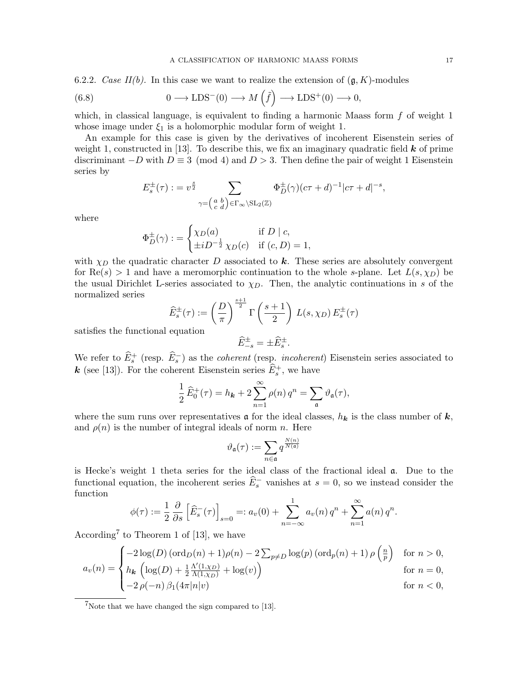6.2.2. Case II(b). In this case we want to realize the extension of  $(\mathfrak{g}, K)$ -modules

(6.8) 
$$
0 \longrightarrow \text{LDS}^-(0) \longrightarrow M\left(\tilde{f}\right) \longrightarrow \text{LDS}^+(0) \longrightarrow 0,
$$

which, in classical language, is equivalent to finding a harmonic Maass form  $f$  of weight 1 whose image under  $\xi_1$  is a holomorphic modular form of weight 1.

An example for this case is given by the derivatives of incoherent Eisenstein series of weight 1, constructed in [13]. To describe this, we fix an imaginary quadratic field  $k$  of prime discriminant  $-D$  with  $D \equiv 3 \pmod{4}$  and  $D > 3$ . Then define the pair of weight 1 Eisenstein series by

$$
E_s^{\pm}(\tau) : = v^{\frac{s}{2}} \sum_{\gamma = \begin{pmatrix} a & b \\ c & d \end{pmatrix} \in \Gamma_{\infty} \backslash \mathrm{SL}_2(\mathbb{Z})} \Phi_D^{\pm}(\gamma) (c\tau + d)^{-1} |c\tau + d|^{-s},
$$

where

$$
\Phi_D^{\pm}(\gamma) := \begin{cases} \chi_D(a) & \text{if } D \mid c, \\ \pm i D^{-\frac{1}{2}} \chi_D(c) & \text{if } (c, D) = 1, \end{cases}
$$

with  $\chi_D$  the quadratic character D associated to k. These series are absolutely convergent for  $\text{Re}(s) > 1$  and have a meromorphic continuation to the whole s-plane. Let  $L(s, \chi_D)$  be the usual Dirichlet L-series associated to  $\chi_D$ . Then, the analytic continuations in s of the normalized series

$$
\widehat{E}_s^{\pm}(\tau) := \left(\frac{D}{\pi}\right)^{\frac{s+1}{2}} \Gamma\left(\frac{s+1}{2}\right) L(s, \chi_D) E_s^{\pm}(\tau)
$$
  
equation

satisfies the functional equation

$$
\widehat{E}_{-s}^{\pm} = \pm \widehat{E}_{s}^{\pm}.
$$

We refer to  $\widehat{E}_s^+$  (resp.  $\widehat{E}_s^-$ ) as the *coherent* (resp. *incoherent*) Eisenstein series associated to **k** (see [13]). For the coherent Eisenstein series  $\widehat{E}_s^+$ , we have

$$
\frac{1}{2}\widehat{E}_0^+(\tau) = h_{\mathbf{k}} + 2\sum_{n=1}^{\infty} \rho(n) q^n = \sum_{\mathfrak{a}} \vartheta_{\mathfrak{a}}(\tau),
$$

where the sum runs over representatives  $\boldsymbol{\alpha}$  for the ideal classes,  $h_{\boldsymbol{k}}$  is the class number of  $\boldsymbol{k}$ , and  $\rho(n)$  is the number of integral ideals of norm n. Here

$$
\vartheta_{\mathfrak{a}}(\tau):=\sum_{n\in\mathfrak{a}}q^{\frac{N(n)}{N(\mathfrak{a})}}
$$

is Hecke's weight 1 theta series for the ideal class of the fractional ideal a. Due to the functional equation, the incoherent series  $\widehat{E}_s^-$  vanishes at  $s = 0$ , so we instead consider the function

$$
\phi(\tau) := \frac{1}{2} \frac{\partial}{\partial s} \left[ \widehat{E}_s^-(\tau) \right]_{s=0} =: a_v(0) + \sum_{n=-\infty}^1 a_v(n) q^n + \sum_{n=1}^\infty a(n) q^n.
$$

According<sup>7</sup> to Theorem 1 of [13], we have

$$
a_v(n) = \begin{cases}\n-2\log(D)\left(\text{ord}_D(n) + 1\right)\rho(n) - 2\sum_{p \neq D} \log(p)\left(\text{ord}_p(n) + 1\right)\rho\left(\frac{n}{p}\right) & \text{for } n > 0, \\
h_k\left(\log(D) + \frac{1}{2}\frac{\Lambda'(1,\chi_D)}{\Lambda(1,\chi_D)} + \log(v)\right) & \text{for } n = 0, \\
-2\,\rho(-n)\,\beta_1(4\pi|n|v) & \text{for } n < 0,\n\end{cases}
$$

<sup>7</sup>Note that we have changed the sign compared to [13].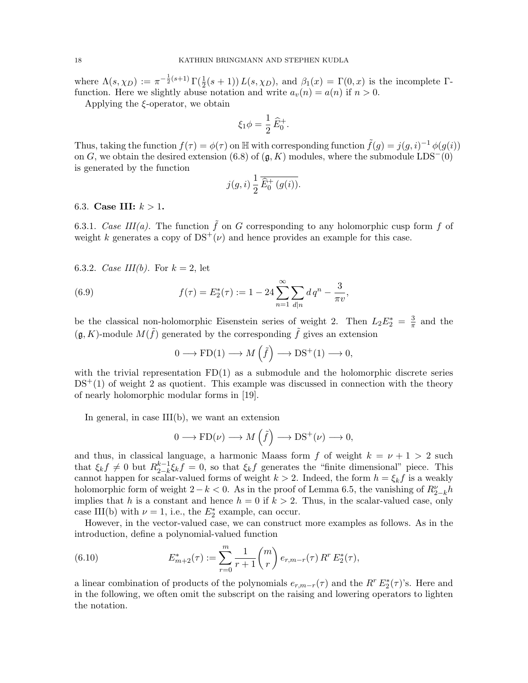where  $\Lambda(s,\chi_D) := \pi^{-\frac{1}{2}(s+1)} \Gamma(\frac{1}{2}(s+1)) L(s,\chi_D)$ , and  $\beta_1(x) = \Gamma(0,x)$  is the incomplete  $\Gamma$ function. Here we slightly abuse notation and write  $a_v(n) = a(n)$  if  $n > 0$ .

Applying the  $\xi$ -operator, we obtain

$$
\xi_1 \phi = \frac{1}{2} \widehat{E}_0^+.
$$

Thus, taking the function  $f(\tau) = \phi(\tau)$  on  $\mathbb{H}$  with corresponding function  $\tilde{f}(g) = j(g, i)^{-1} \phi(g(i))$ on G, we obtain the desired extension (6.8) of  $(g, K)$  modules, where the submodule LDS<sup>-</sup>(0) is generated by the function

$$
j(g,i)\,\frac{1}{2}\,\overline{\widehat{E}_0^+\left(g(i)\right)}.
$$

6.3. Case III:  $k > 1$ .

6.3.1. Case III(a). The function  $\tilde{f}$  on G corresponding to any holomorphic cusp form f of weight k generates a copy of  $DS^{+}(\nu)$  and hence provides an example for this case.

6.3.2. *Case III(b)*. For  $k = 2$ , let

(6.9) 
$$
f(\tau) = E_2^*(\tau) := 1 - 24 \sum_{n=1}^{\infty} \sum_{d|n} dq^n - \frac{3}{\pi v},
$$

be the classical non-holomorphic Eisenstein series of weight 2. Then  $L_2E_2^* = \frac{3}{\pi}$  $\frac{3}{\pi}$  and the  $(\mathfrak{g}, K)$ -module  $M(\tilde{f})$  generated by the corresponding  $\tilde{f}$  gives an extension

$$
0 \longrightarrow \text{FD}(1) \longrightarrow M\left(\tilde{f}\right) \longrightarrow \text{DS}^+(1) \longrightarrow 0,
$$

with the trivial representation  $FD(1)$  as a submodule and the holomorphic discrete series  $DS<sup>+</sup>(1)$  of weight 2 as quotient. This example was discussed in connection with the theory of nearly holomorphic modular forms in [19].

In general, in case  $III(b)$ , we want an extension

$$
0 \longrightarrow \text{FD}(\nu) \longrightarrow M\left(\tilde{f}\right) \longrightarrow \text{DS}^+(\nu) \longrightarrow 0,
$$

and thus, in classical language, a harmonic Maass form f of weight  $k = \nu + 1 > 2$  such that  $\xi_k f \neq 0$  but  $R_{2-k}^{k-1}$  $\zeta_{2-k}^{k-1}\zeta_k f = 0$ , so that  $\zeta_k f$  generates the "finite dimensional" piece. This cannot happen for scalar-valued forms of weight  $k > 2$ . Indeed, the form  $h = \xi_k f$  is a weakly holomorphic form of weight  $2 - k < 0$ . As in the proof of Lemma 6.5, the vanishing of  $R_{2-k}^{\nu}h$ implies that h is a constant and hence  $h = 0$  if  $k > 2$ . Thus, in the scalar-valued case, only case III(b) with  $\nu = 1$ , i.e., the  $E_2^*$  example, can occur.

However, in the vector-valued case, we can construct more examples as follows. As in the introduction, define a polynomial-valued function

(6.10) 
$$
E_{m+2}^*(\tau) := \sum_{r=0}^m \frac{1}{r+1} \binom{m}{r} e_{r,m-r}(\tau) R^r E_2^*(\tau),
$$

a linear combination of products of the polynomials  $e_{r,m-r}(\tau)$  and the  $R^r E_2^*(\tau)$ 's. Here and in the following, we often omit the subscript on the raising and lowering operators to lighten the notation.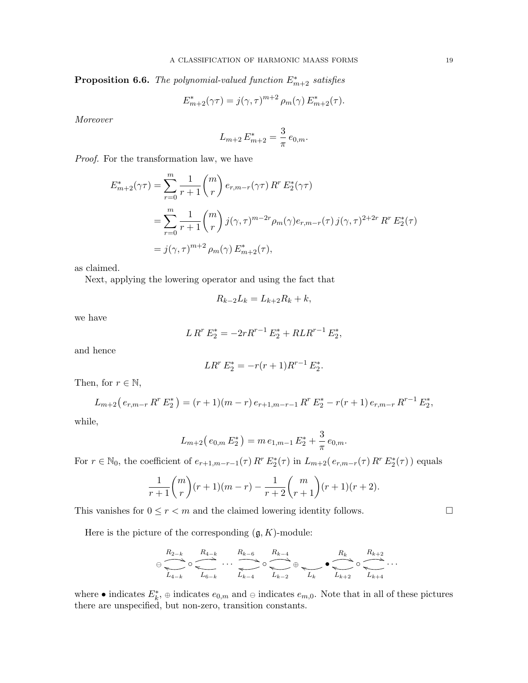**Proposition 6.6.** The polynomial-valued function  $E_{m+2}^*$  satisfies

$$
E_{m+2}^*(\gamma \tau) = j(\gamma, \tau)^{m+2} \rho_m(\gamma) E_{m+2}^*(\tau).
$$

Moreover

$$
L_{m+2} E_{m+2}^* = \frac{3}{\pi} e_{0,m}.
$$

Proof. For the transformation law, we have

$$
E_{m+2}^{*}(\gamma \tau) = \sum_{r=0}^{m} \frac{1}{r+1} {m \choose r} e_{r,m-r}(\gamma \tau) R^{r} E_{2}^{*}(\gamma \tau)
$$
  
= 
$$
\sum_{r=0}^{m} \frac{1}{r+1} {m \choose r} j(\gamma, \tau)^{m-2r} \rho_{m}(\gamma) e_{r,m-r}(\tau) j(\gamma, \tau)^{2+2r} R^{r} E_{2}^{*}(\tau)
$$
  
= 
$$
j(\gamma, \tau)^{m+2} \rho_{m}(\gamma) E_{m+2}^{*}(\tau),
$$

as claimed.

Next, applying the lowering operator and using the fact that

$$
R_{k-2}L_k = L_{k+2}R_k + k,
$$

we have

$$
L R^r E_2^* = -2r R^{r-1} E_2^* + R L R^{r-1} E_2^*,
$$

and hence

$$
LR^r E_2^* = -r(r+1)R^{r-1} E_2^*.
$$

Then, for  $r \in \mathbb{N}$ ,

$$
L_{m+2}(e_{r,m-r}R^r E_2^*) = (r+1)(m-r) e_{r+1,m-r-1} R^r E_2^* - r(r+1) e_{r,m-r} R^{r-1} E_2^*,
$$

while,

$$
L_{m+2}(e_{0,m} E_2^*) = m e_{1,m-1} E_2^* + \frac{3}{\pi} e_{0,m}.
$$

For  $r \in \mathbb{N}_0$ , the coefficient of  $e_{r+1,m-r-1}(\tau) R^r E_2^*(\tau)$  in  $L_{m+2}(e_{r,m-r}(\tau) R^r E_2^*(\tau))$  equals

$$
\frac{1}{r+1} \binom{m}{r} (r+1)(m-r) - \frac{1}{r+2} \binom{m}{r+1} (r+1)(r+2).
$$

This vanishes for  $0 \le r < m$  and the claimed lowering identity follows.

Here is the picture of the corresponding  $(\mathfrak{g}, K)$ -module:

$$
\ominus \overbrace{\sum_{L_{4-k}}}\circ \overbrace{\sum_{L_{6-k}}^{R_{4-k}}}\ \cdots \ \overbrace{\sum_{L_{k-4}}^{R_{k-6}}\circ \overbrace{\sum_{L_{k-2}}^{R_{k-4}}}\oplus \underbrace{\sum_{L_{k}}\circ \overbrace{\sum_{L_{k+2}}^{R_{k+2}}}\circ \overbrace{\sum_{L_{k+4}}^{R_{k+2}}}\cdots
$$

where • indicates  $E_k^*$ ,  $\oplus$  indicates  $e_{0,m}$  and  $\oplus$  indicates  $e_{m,0}$ . Note that in all of these pictures there are unspecified, but non-zero, transition constants.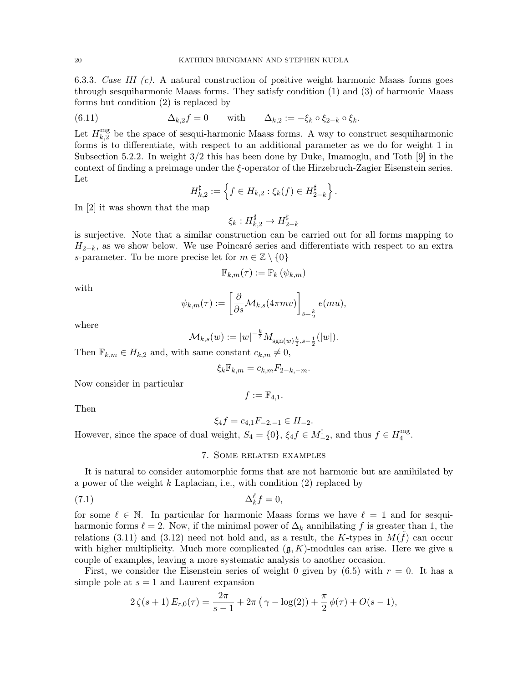6.3.3. Case III  $(c)$ . A natural construction of positive weight harmonic Maass forms goes through sesquiharmonic Maass forms. They satisfy condition (1) and (3) of harmonic Maass forms but condition (2) is replaced by

(6.11) 
$$
\Delta_{k,2}f=0 \quad \text{with} \quad \Delta_{k,2}:= -\xi_k \circ \xi_{2-k} \circ \xi_k.
$$

Let  $H_{k}^{\text{mg}}$  $\frac{mg}{k,2}$  be the space of sesqui-harmonic Maass forms. A way to construct sesquiharmonic forms is to differentiate, with respect to an additional parameter as we do for weight 1 in Subsection 5.2.2. In weight 3/2 this has been done by Duke, Imamoglu, and Toth [9] in the context of finding a preimage under the ξ-operator of the Hirzebruch-Zagier Eisenstein series. Let

$$
H_{k,2}^{\sharp} := \left\{ f \in H_{k,2} : \xi_k(f) \in H_{2-k}^{\sharp} \right\}.
$$

In [2] it was shown that the map

$$
\xi_k:H^\sharp_{k,2}\to H^\sharp_{2-k}
$$

is surjective. Note that a similar construction can be carried out for all forms mapping to  $H_{2-k}$ , as we show below. We use Poincaré series and differentiate with respect to an extra s-parameter. To be more precise let for  $m \in \mathbb{Z} \setminus \{0\}$ 

$$
\mathbb{F}_{k,m}(\tau) := \mathbb{P}_k(\psi_{k,m})
$$

with

$$
\psi_{k,m}(\tau) := \left[\frac{\partial}{\partial s} \mathcal{M}_{k,s}(4\pi mv)\right]_{s=\frac{k}{2}} e(mu),
$$

where

$$
\mathcal{M}_{k,s}(w) := |w|^{-\frac{k}{2}} M_{\text{sgn}(w)\frac{k}{2}, s-\frac{1}{2}}(|w|).
$$

Then  $\mathbb{F}_{k,m} \in H_{k,2}$  and, with same constant  $c_{k,m} \neq 0$ ,

$$
\xi_k \mathbb{F}_{k,m} = c_{k,m} F_{2-k,-m}.
$$

Now consider in particular

 $f := \mathbb{F}_{4,1}.$ 

Then

$$
\xi_4 f = c_{4,1} F_{-2,-1} \in H_{-2}.
$$

However, since the space of dual weight,  $S_4 = \{0\}$ ,  $\xi_4 f \in M_{-2}^!$ , and thus  $f \in H_4^{\text{mg}}$  $_{4}^{\mathrm{mg}}$ .

# 7. Some related examples

It is natural to consider automorphic forms that are not harmonic but are annihilated by a power of the weight  $k$  Laplacian, i.e., with condition  $(2)$  replaced by

$$
\Delta_k^{\ell} f = 0,
$$

for some  $\ell \in \mathbb{N}$ . In particular for harmonic Maass forms we have  $\ell = 1$  and for sesquiharmonic forms  $\ell = 2$ . Now, if the minimal power of  $\Delta_k$  annihilating f is greater than 1, the relations (3.11) and (3.12) need not hold and, as a result, the K-types in  $M(\tilde{f})$  can occur with higher multiplicity. Much more complicated  $(g, K)$ -modules can arise. Here we give a couple of examples, leaving a more systematic analysis to another occasion.

First, we consider the Eisenstein series of weight 0 given by  $(6.5)$  with  $r = 0$ . It has a simple pole at  $s = 1$  and Laurent expansion

$$
2\zeta(s+1) E_{r,0}(\tau) = \frac{2\pi}{s-1} + 2\pi (\gamma - \log(2)) + \frac{\pi}{2} \phi(\tau) + O(s-1),
$$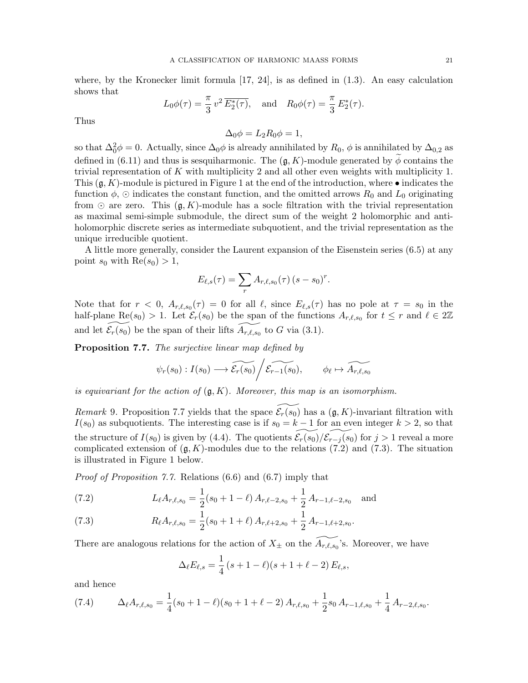where, by the Kronecker limit formula  $[17, 24]$ , is as defined in  $(1.3)$ . An easy calculation shows that

$$
L_0\phi(\tau) = \frac{\pi}{3}v^2\overline{E_2^*(\tau)},
$$
 and  $R_0\phi(\tau) = \frac{\pi}{3}E_2^*(\tau).$ 

Thus

$$
\Delta_0 \phi = L_2 R_0 \phi = 1,
$$

so that  $\Delta_0^2 \phi = 0$ . Actually, since  $\Delta_0 \phi$  is already annihilated by  $R_0$ ,  $\phi$  is annihilated by  $\Delta_{0,2}$  as defined in (6.11) and thus is sesquiharmonic. The  $(g, K)$ -module generated by  $\phi$  contains the trivial representation of K with multiplicity 2 and all other even weights with multiplicity 1. This  $(\mathfrak{g}, K)$ -module is pictured in Figure 1 at the end of the introduction, where  $\bullet$  indicates the function  $\phi$ ,  $\odot$  indicates the constant function, and the omitted arrows  $R_0$  and  $L_0$  originating from  $\odot$  are zero. This  $(g, K)$ -module has a socle filtration with the trivial representation as maximal semi-simple submodule, the direct sum of the weight 2 holomorphic and antiholomorphic discrete series as intermediate subquotient, and the trivial representation as the unique irreducible quotient.

A little more generally, consider the Laurent expansion of the Eisenstein series (6.5) at any point  $s_0$  with  $\text{Re}(s_0) > 1$ ,

$$
E_{\ell,s}(\tau) = \sum_r A_{r,\ell,s_0}(\tau) (s - s_0)^r.
$$

Note that for  $r < 0$ ,  $A_{r,\ell,s_0}(\tau) = 0$  for all  $\ell$ , since  $E_{\ell,s}(\tau)$  has no pole at  $\tau = s_0$  in the half-plane Re $(s_0) > 1$ . Let  $\mathcal{E}_r(s_0)$  be the span of the functions  $A_{r,\ell,s_0}$  for  $t \leq r$  and  $\ell \in 2\mathbb{Z}$ and let  $\widetilde{\mathcal{E}_r(s_0)}$  be the span of their lifts  $\widetilde{A_{r,\ell,s_0}}$  to G via (3.1).

Proposition 7.7. The surjective linear map defined by

$$
\psi_r(s_0) : I(s_0) \longrightarrow \widetilde{\mathcal{E}_r(s_0)} / \widetilde{\mathcal{E}_{r-1}(s_0)}, \qquad \phi_\ell \mapsto \widetilde{A_{r,\ell,s_0}}
$$

is equivariant for the action of  $(q, K)$ . Moreover, this map is an isomorphism.

Remark 9. Proposition 7.7 yields that the space  $\mathcal{E}_r(\overline{s_0})$  has a  $(\mathfrak{g}, K)$ -invariant filtration with  $I(s_0)$  as subquotients. The interesting case is if  $s_0 = k - 1$  for an even integer  $k > 2$ , so that the structure of  $I(s_0)$  is given by (4.4). The quotients  $\mathcal{E}_r(s_0)/\mathcal{E}_{r-j} (s_0)$  for  $j > 1$  reveal a more complicated extension of  $(g, K)$ -modules due to the relations (7.2) and (7.3). The situation is illustrated in Figure 1 below.

Proof of Proposition 7.7. Relations (6.6) and (6.7) imply that

(7.2) 
$$
L_{\ell}A_{r,\ell,s_0} = \frac{1}{2}(s_0 + 1 - \ell) A_{r,\ell-2,s_0} + \frac{1}{2} A_{r-1,\ell-2,s_0} \text{ and}
$$

(7.3) 
$$
R_{\ell}A_{r,\ell,s_0} = \frac{1}{2}(s_0 + 1 + \ell) A_{r,\ell+2,s_0} + \frac{1}{2} A_{r-1,\ell+2,s_0}.
$$

There are analogous relations for the action of  $X_{\pm}$  on the  $\widetilde{A_{r,\ell,s_0}}$ 's. Moreover, we have

$$
\Delta_{\ell} E_{\ell,s} = \frac{1}{4} (s + 1 - \ell)(s + 1 + \ell - 2) E_{\ell,s},
$$

and hence

(7.4) 
$$
\Delta_{\ell} A_{r,\ell,s_0} = \frac{1}{4} (s_0 + 1 - \ell)(s_0 + 1 + \ell - 2) A_{r,\ell,s_0} + \frac{1}{2} s_0 A_{r-1,\ell,s_0} + \frac{1}{4} A_{r-2,\ell,s_0}.
$$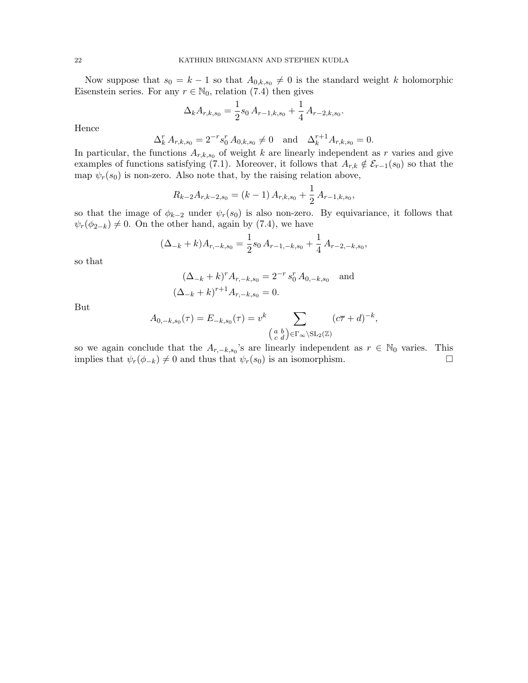Now suppose that  $s_0 = k - 1$  so that  $A_{0,k,s_0} \neq 0$  is the standard weight k holomorphic Eisenstein series. For any  $r \in \mathbb{N}_0$ , relation (7.4) then gives

$$
\Delta_k A_{r,k,s_0} = \frac{1}{2} s_0 A_{r-1,k,s_0} + \frac{1}{4} A_{r-2,k,s_0}.
$$

Hence

$$
\Delta_k^r A_{r,k,s_0} = 2^{-r} s_0^r A_{0,k,s_0} \neq 0 \text{ and } \Delta_k^{r+1} A_{r,k,s_0} = 0.
$$

In particular, the functions  $A_{r,k,s_0}$  of weight k are linearly independent as r varies and give examples of functions satisfying (7.1). Moreover, it follows that  $A_{r,k} \notin \mathcal{E}_{r-1}(s_0)$  so that the map  $\psi_r(s_0)$  is non-zero. Also note that, by the raising relation above,

$$
R_{k-2}A_{r,k-2,s_0} = (k-1) A_{r,k,s_0} + \frac{1}{2} A_{r-1,k,s_0},
$$

so that the image of  $\phi_{k-2}$  under  $\psi_r(s_0)$  is also non-zero. By equivariance, it follows that  $\psi_r(\phi_{2-k}) \neq 0$ . On the other hand, again by (7.4), we have

$$
(\Delta_{-k} + k)A_{r,-k,s_0} = \frac{1}{2}s_0 A_{r-1,-k,s_0} + \frac{1}{4}A_{r-2,-k,s_0},
$$

so that

$$
(\Delta_{-k} + k)^r A_{r,-k,s_0} = 2^{-r} s_0^r A_{0,-k,s_0}
$$
 and  

$$
(\Delta_{-k} + k)^{r+1} A_{r,-k,s_0} = 0.
$$

But

$$
A_{0,-k,s_0}(\tau) = E_{-k,s_0}(\tau) = v^k \sum_{\substack{a,b \ c \ d}} \sum_{\substack{\sigma \in \Gamma_\infty \backslash \mathrm{SL}_2(\mathbb{Z})}} (c\overline{\tau} + d)^{-k},
$$

so we again conclude that the  $A_{r,-k,s_0}$ 's are linearly independent as  $r \in \mathbb{N}_0$  varies. This implies that  $\psi_r(\phi_{-k}) \neq 0$  and thus that  $\psi_r(s_0)$  is an isomorphism.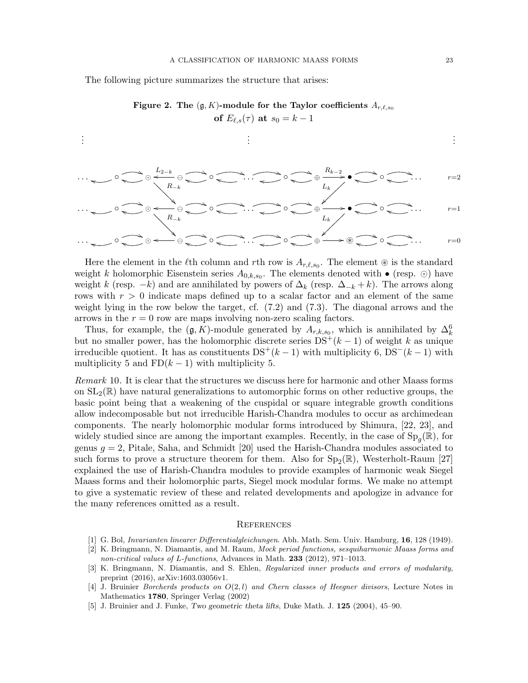The following picture summarizes the structure that arises:



. . . . . . . . . . . . <sup>j</sup> ◦ ( h  R−<sup>k</sup> L2−<sup>k</sup> o ( <sup>h</sup> ◦ i . . . ) <sup>l</sup> ◦ ( ⊕ Rk−<sup>2</sup> / h • ( L<sup>k</sup> ~ h ◦ ( h . . . <sup>r</sup>=2 . . . <sup>j</sup> ◦ ( h  R−<sup>k</sup> o ( <sup>h</sup> ◦ ( i . . . ) <sup>l</sup> ◦ ( h <sup>⊕</sup> /• ( L<sup>k</sup> h ◦ ( h . . . <sup>r</sup>=1 . . . <sup>j</sup> ◦ ( h  o ( <sup>h</sup> ◦ ( i . . . ) <sup>l</sup> ◦ ( <sup>⊕</sup> / <sup>h</sup> <sup>~</sup> ( <sup>i</sup> ◦ ( h . . . <sup>r</sup>=0

Here the element in the  $\ell$ th column and rth row is  $A_{r,\ell,s_0}$ . The element  $\circledast$  is the standard weight k holomorphic Eisenstein series  $A_{0,k,s_0}$ . The elements denoted with  $\bullet$  (resp.  $\odot$ ) have weight k (resp.  $-k$ ) and are annihilated by powers of  $\Delta_k$  (resp.  $\Delta_{-k} + k$ ). The arrows along rows with  $r > 0$  indicate maps defined up to a scalar factor and an element of the same weight lying in the row below the target, cf. (7.2) and (7.3). The diagonal arrows and the arrows in the  $r = 0$  row are maps involving non-zero scaling factors.

Thus, for example, the  $(\mathfrak{g}, K)$ -module generated by  $A_{r,k,s_0}$ , which is annihilated by  $\Delta_k^6$ but no smaller power, has the holomorphic discrete series  $DS^{+}(k-1)$  of weight k as unique irreducible quotient. It has as constituents  $DS^{+}(k-1)$  with multiplicity 6,  $DS^{-}(k-1)$  with multiplicity 5 and  $FD(k-1)$  with multiplicity 5.

Remark 10. It is clear that the structures we discuss here for harmonic and other Maass forms on  $SL_2(\mathbb{R})$  have natural generalizations to automorphic forms on other reductive groups, the basic point being that a weakening of the cuspidal or square integrable growth conditions allow indecomposable but not irreducible Harish-Chandra modules to occur as archimedean components. The nearly holomorphic modular forms introduced by Shimura, [22, 23], and widely studied since are among the important examples. Recently, in the case of  $Sp<sub>g</sub>(\mathbb{R})$ , for genus  $g = 2$ , Pitale, Saha, and Schmidt [20] used the Harish-Chandra modules associated to such forms to prove a structure theorem for them. Also for  $Sp_2(\mathbb{R})$ , Westerholt-Raum [27] explained the use of Harish-Chandra modules to provide examples of harmonic weak Siegel Maass forms and their holomorphic parts, Siegel mock modular forms. We make no attempt to give a systematic review of these and related developments and apologize in advance for the many references omitted as a result.

#### **REFERENCES**

- [1] G. Bol, Invarianten linearer Differentialgleichungen. Abh. Math. Sem. Univ. Hamburg, 16, 128 (1949).
- [2] K. Bringmann, N. Diamantis, and M. Raum, Mock period functions, sesquiharmonic Maass forms and non-critical values of L-functions, Advances in Math. 233 (2012), 971–1013.
- [3] K. Bringmann, N. Diamantis, and S. Ehlen, Regularized inner products and errors of modularity, preprint (2016), arXiv:1603.03056v1.
- [4] J. Bruinier Borcherds products on  $O(2, l)$  and Chern classes of Heegner divisors, Lecture Notes in Mathematics 1780, Springer Verlag (2002)
- [5] J. Bruinier and J. Funke, Two geometric theta lifts, Duke Math. J. 125 (2004), 45–90.